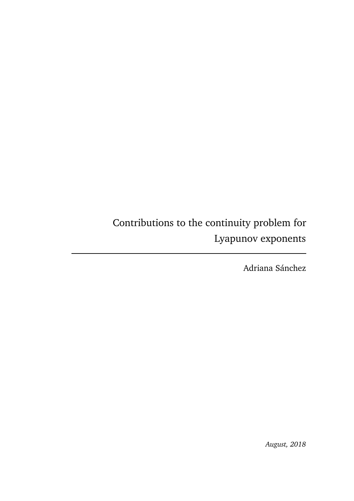Contributions to the continuity problem for Lyapunov exponents

Adriana Sánchez

*August, 2018*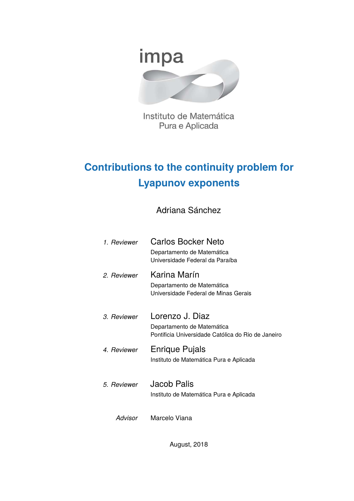

Instituto de Matemática Pura e Aplicada

# **Contributions to the continuity problem for Lyapunov exponents**

Adriana Sánchez

| 1 Reviewer        | Carlos Bocker Neto<br>Departamento de Matemática<br>Universidade Federal da Paraíba                 |
|-------------------|-----------------------------------------------------------------------------------------------------|
| 2. Reviewer       | Karina Marín<br>Departamento de Matemática<br>Universidade Federal de Minas Gerais                  |
| <i>3 Reviewer</i> | Lorenzo J. Diaz<br>Departamento de Matemática<br>Pontificia Universidade Católica do Rio de Janeiro |
| 4. Reviewer       | Enrique Pujals<br>Instituto de Matemática Pura e Aplicada                                           |
| 5. Reviewer       | Jacob Palis<br>Instituto de Matemática Pura e Aplicada                                              |
| Advisor           | Marcelo Viana                                                                                       |

August, 2018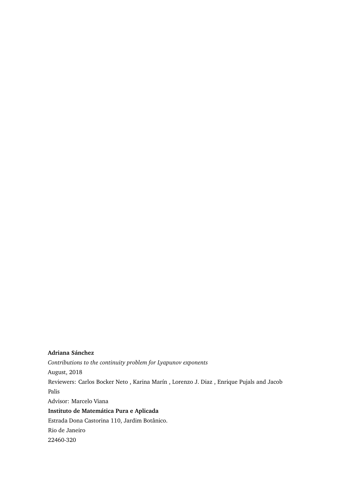#### **Adriana Sánchez**

*Contributions to the continuity problem for Lyapunov exponents*

August, 2018

Reviewers: Carlos Bocker Neto , Karina Marín , Lorenzo J. Diaz , Enrique Pujals and Jacob Palis

Advisor: Marcelo Viana

**Instituto de Matemática Pura e Aplicada** Estrada Dona Castorina 110, Jardim Botânico. Rio de Janeiro

22460-320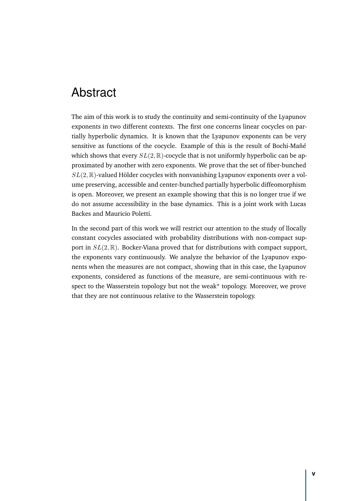# Abstract

The aim of this work is to study the continuity and semi-continuity of the Lyapunov exponents in two different contexts. The first one concerns linear cocycles on partially hyperbolic dynamics. It is known that the Lyapunov exponents can be very sensitive as functions of the cocycle. Example of this is the result of Bochi-Mañé which shows that every  $SL(2,\mathbb{R})$ -cocycle that is not uniformly hyperbolic can be approximated by another with zero exponents. We prove that the set of fiber-bunched *SL*(2*,* R)-valued Hölder cocycles with nonvanishing Lyapunov exponents over a volume preserving, accessible and center-bunched partially hyperbolic diffeomorphism is open. Moreover, we present an example showing that this is no longer true if we do not assume accessibility in the base dynamics. This is a joint work with Lucas Backes and Mauricio Poletti.

In the second part of this work we will restrict our attention to the study of llocally constant cocycles associated with probability distributions with non-compact support in *SL*(2*,* R). Bocker-Viana proved that for distributions with compact support, the exponents vary continuously. We analyze the behavior of the Lyapunov exponents when the measures are not compact, showing that in this case, the Lyapunov exponents, considered as functions of the measure, are semi-continuous with respect to the Wasserstein topology but not the weak\* topology. Moreover, we prove that they are not continuous relative to the Wasserstein topology.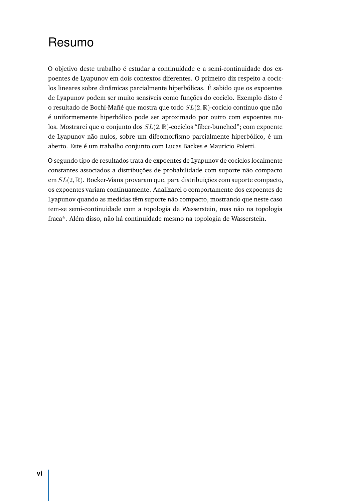# Resumo

O objetivo deste trabalho é estudar a continuidade e a semi-continuidade dos expoentes de Lyapunov em dois contextos diferentes. O primeiro diz respeito a cociclos lineares sobre dinâmicas parcialmente hiperbólicas. É sabido que os expoentes de Lyapunov podem ser muito sensíveis como funções do cociclo. Exemplo disto é o resultado de Bochi-Mañé que mostra que todo *SL*(2*,* R)-cociclo contínuo que não é uniformemente hiperbólico pode ser aproximado por outro com expoentes nulos. Mostrarei que o conjunto dos *SL*(2*,* R)-cociclos "fiber-bunched"; com expoente de Lyapunov não nulos, sobre um difeomorfismo parcialmente hiperbólico, é um aberto. Este é um trabalho conjunto com Lucas Backes e Mauricio Poletti.

O segundo tipo de resultados trata de expoentes de Lyapunov de cociclos localmente constantes associados a distribuções de probabilidade com suporte não compacto em *SL*(2*,* R). Bocker-Viana provaram que, para distribuições com suporte compacto, os expoentes variam continuamente. Analizarei o comportamente dos expoentes de Lyapunov quando as medidas têm suporte não compacto, mostrando que neste caso tem-se semi-continuidade com a topologia de Wasserstein, mas não na topologia fraca\*. Além disso, não há continuidade mesmo na topologia de Wasserstein.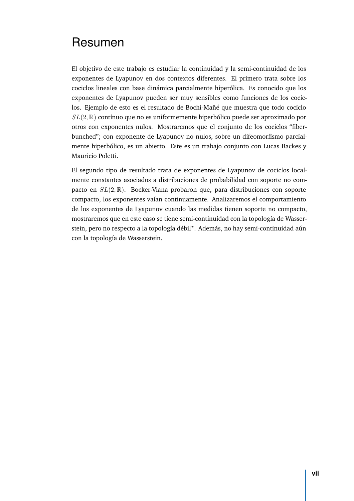# Resumen

El objetivo de este trabajo es estudiar la continuidad y la semi-continuidad de los exponentes de Lyapunov en dos contextos diferentes. El primero trata sobre los cociclos lineales con base dinámica parcialmente hiperólica. Es conocido que los exponentes de Lyapunov pueden ser muy sensibles como funciones de los cociclos. Ejemplo de esto es el resultado de Bochi-Mañé que muestra que todo cociclo *SL*(2*,* R) contínuo que no es uniformemente hiperbólico puede ser aproximado por otros con exponentes nulos. Mostraremos que el conjunto de los cociclos "fiberbunched"; con exponente de Lyapunov no nulos, sobre un difeomorfismo parcialmente hiperbólico, es un abierto. Este es un trabajo conjunto con Lucas Backes y Mauricio Poletti.

El segundo tipo de resultado trata de exponentes de Lyapunov de cociclos localmente constantes asociados a distribuciones de probabilidad con soporte no compacto en *SL*(2*,* R). Bocker-Viana probaron que, para distribuciones con soporte compacto, los exponentes vaían continuamente. Analizaremos el comportamiento de los exponentes de Lyapunov cuando las medidas tienen soporte no compacto, mostraremos que en este caso se tiene semi-continuidad con la topología de Wasserstein, pero no respecto a la topología débil\*. Además, no hay semi-continuidad aún con la topología de Wasserstein.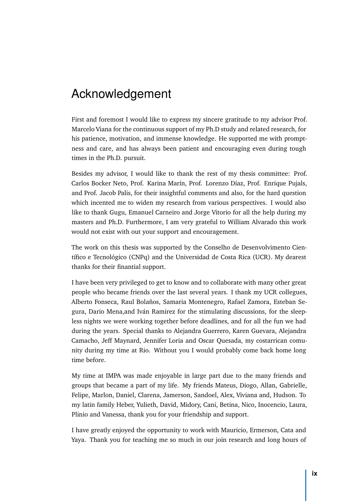# Acknowledgement

First and foremost I would like to express my sincere gratitude to my advisor Prof. Marcelo Viana for the continuous support of my Ph.D study and related research, for his patience, motivation, and immense knowledge. He supported me with promptness and care, and has always been patient and encouraging even during tough times in the Ph.D. pursuit.

Besides my advisor, I would like to thank the rest of my thesis committee: Prof. Carlos Bocker Neto, Prof. Karina Marín, Prof. Lorenzo Díaz, Prof. Enrique Pujals, and Prof. Jacob Palis, for their insightful comments and also, for the hard question which incented me to widen my research from various perspectives. I would also like to thank Gugu, Emanuel Carneiro and Jorge Vitorio for all the help during my masters and Ph.D. Furthermore, I am very grateful to William Alvarado this work would not exist with out your support and encouragement.

The work on this thesis was supported by the Conselho de Desenvolvimento Científico e Tecnológico (CNPq) and the Universidad de Costa Rica (UCR). My dearest thanks for their finantial support.

I have been very privileged to get to know and to collaborate with many other great people who became friends over the last several years. I thank my UCR collegues, Alberto Fonseca, Raul Bolaños, Samaria Montenegro, Rafael Zamora, Esteban Segura, Dario Mena,and Iván Ramirez for the stimulating discussions, for the sleepless nights we were working together before deadlines, and for all the fun we had during the years. Special thanks to Alejandra Guerrero, Karen Guevara, Alejandra Camacho, Jeff Maynard, Jennifer Loria and Oscar Quesada, my costarrican comunity during my time at Rio. Without you I would probably come back home long time before.

My time at IMPA was made enjoyable in large part due to the many friends and groups that became a part of my life. My friends Mateus, Diogo, Allan, Gabrielle, Felipe, Marlon, Daniel, Clarena, Jamerson, Sandoel, Alex, Viviana and, Hudson. To my latin family Heber, Yulieth, David, Midory, Cani, Betina, Nico, Inocencio, Laura, Plinio and Vanessa, thank you for your friendship and support.

I have greatly enjoyed the opportunity to work with Mauricio, Ermerson, Cata and Yaya. Thank you for teaching me so much in our join research and long hours of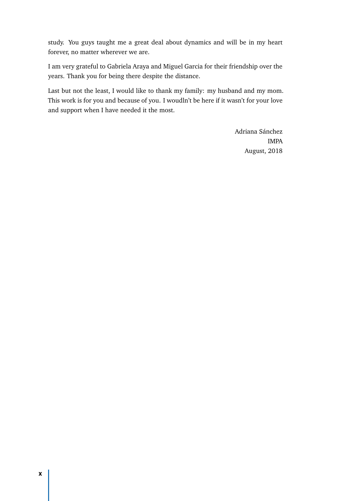study. You guys taught me a great deal about dynamics and will be in my heart forever, no matter wherever we are.

I am very grateful to Gabriela Araya and Miguel Garcia for their friendship over the years. Thank you for being there despite the distance.

Last but not the least, I would like to thank my family: my husband and my mom. This work is for you and because of you. I woudln't be here if it wasn't for your love and support when I have needed it the most.

> Adriana Sánchez IMPA August, 2018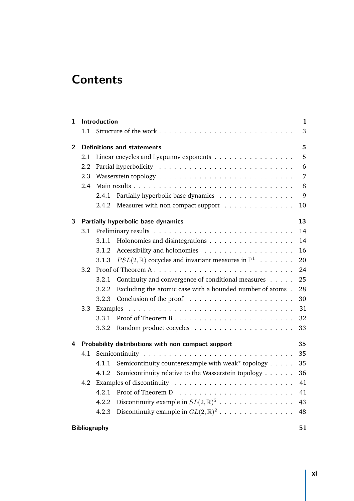# **Contents**

| $\mathbf{1}$   |     | Introduction<br>$\mathbf{1}$      |                                                                                                       |    |  |
|----------------|-----|-----------------------------------|-------------------------------------------------------------------------------------------------------|----|--|
|                | 1.1 |                                   |                                                                                                       | 3  |  |
| $\overline{2}$ |     | <b>Definitions and statements</b> |                                                                                                       |    |  |
|                | 2.1 |                                   | Linear cocycles and Lyapunov exponents                                                                | 5  |  |
|                | 2.2 |                                   | 6                                                                                                     |    |  |
|                | 2.3 |                                   | 7                                                                                                     |    |  |
|                | 2.4 |                                   |                                                                                                       | 8  |  |
|                |     | 2.4.1                             | Partially hyperbolic base dynamics                                                                    | 9  |  |
|                |     | 2.4.2                             | Measures with non compact support                                                                     | 10 |  |
| 3              |     |                                   | Partially hyperbolic base dynamics                                                                    | 13 |  |
|                | 3.1 |                                   |                                                                                                       | 14 |  |
|                |     | 3.1.1                             |                                                                                                       | 14 |  |
|                |     | 3.1.2                             |                                                                                                       | 16 |  |
|                |     | 3.1.3                             | $PSL(2,\mathbb{R})$ cocycles and invariant measures in $\mathbb{P}^1 \cdot \cdot \cdot \cdot \cdot$ . | 20 |  |
|                | 3.2 |                                   |                                                                                                       | 24 |  |
|                |     | 3.2.1                             | Continuity and convergence of conditional measures                                                    | 25 |  |
|                |     | 3.2.2                             | Excluding the atomic case with a bounded number of atoms.                                             | 28 |  |
|                |     | 3.2.3                             |                                                                                                       | 30 |  |
|                | 3.3 |                                   |                                                                                                       | 31 |  |
|                |     | 3.3.1                             |                                                                                                       | 32 |  |
|                |     | 3.3.2                             |                                                                                                       | 33 |  |
| 4              |     |                                   | Probability distributions with non compact support                                                    | 35 |  |
|                | 4.1 |                                   |                                                                                                       | 35 |  |
|                |     | 4.1.1                             | Semicontinuity counterexample with weak* topology                                                     | 35 |  |
|                |     | 4.1.2                             | Semicontinuity relative to the Wasserstein topology                                                   | 36 |  |
|                | 4.2 |                                   | Examples of discontinuity $\ldots \ldots \ldots \ldots \ldots \ldots \ldots$                          | 41 |  |
|                |     | 4.2.1                             |                                                                                                       | 41 |  |
|                |     | 4.2.2                             | Discontinuity example in $SL(2,\mathbb{R})^5$                                                         | 43 |  |
|                |     | 4.2.3                             | Discontinuity example in $GL(2,\mathbb{R})^2$                                                         | 48 |  |
|                |     | <b>Bibliography</b>               |                                                                                                       | 51 |  |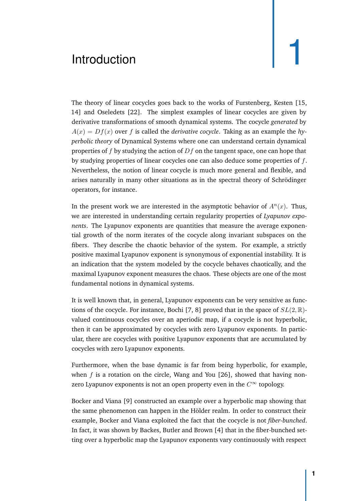# <span id="page-12-2"></span><span id="page-12-1"></span><span id="page-12-0"></span>Introduction **1**

The theory of linear cocycles goes back to the works of Furstenberg, Kesten [\[15](#page-63-0), [14\]](#page-63-1) and Oseledets [\[22](#page-63-2)]. The simplest examples of linear cocycles are given by derivative transformations of smooth dynamical systems. The cocycle *generated* by  $A(x) = Df(x)$  over f is called the *derivative cocycle*. Taking as an example the *hyperbolic theory* of Dynamical Systems where one can understand certain dynamical properties of *f* by studying the action of *Df* on the tangent space, one can hope that by studying properties of linear cocycles one can also deduce some properties of *f*. Nevertheless, the notion of linear cocycle is much more general and flexible, and arises naturally in many other situations as in the spectral theory of Schrödinger operators, for instance.

In the present work we are interested in the asymptotic behavior of  $A<sup>n</sup>(x)$ . Thus, we are interested in understanding certain regularity properties of *Lyapunov exponents*. The Lyapunov exponents are quantities that measure the average exponential growth of the norm iterates of the cocycle along invariant subspaces on the fibers. They describe the chaotic behavior of the system. For example, a strictly positive maximal Lyapunov exponent is synonymous of exponential instability. It is an indication that the system modeled by the cocycle behaves chaotically, and the maximal Lyapunov exponent measures the chaos. These objects are one of the most fundamental notions in dynamical systems.

It is well known that, in general, Lyapunov exponents can be very sensitive as functions of the cocycle. For instance, Bochi [\[7,](#page-62-1) [8\]](#page-62-2) proved that in the space of *SL*(2*,* R) valued continuous cocycles over an aperiodic map, if a cocycle is not hyperbolic, then it can be approximated by cocycles with zero Lyapunov exponents. In particular, there are cocycles with positive Lyapunov exponents that are accumulated by cocycles with zero Lyapunov exponents.

Furthermore, when the base dynamic is far from being hyperbolic, for example, when *f* is a rotation on the circle, Wang and You [\[26](#page-63-3)], showed that having nonzero Lyapunov exponents is not an open property even in the  $C^{\infty}$  topology.

Bocker and Viana [\[9](#page-62-3)] constructed an example over a hyperbolic map showing that the same phenomenon can happen in the Hölder realm. In order to construct their example, Bocker and Viana exploited the fact that the cocycle is not *fiber-bunched*. In fact, it was shown by Backes, Butler and Brown [\[4](#page-62-4)] that in the fiber-bunched setting over a hyperbolic map the Lyapunov exponents vary continuously with respect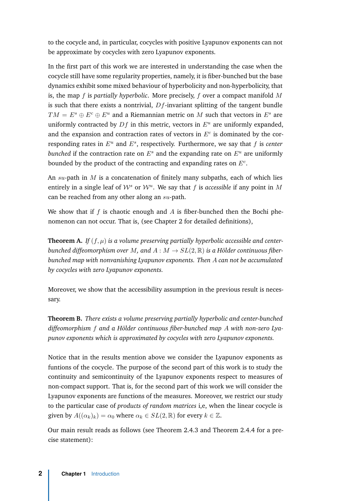to the cocycle and, in particular, cocycles with positive Lyapunov exponents can not be approximate by cocycles with zero Lyapunov exponents.

In the first part of this work we are interested in understanding the case when the cocycle still have some regularity properties, namely, it is fiber-bunched but the base dynamics exhibit some mixed behaviour of hyperbolicity and non-hyperbolicity, that is, the map *f* is *partially hyperbolic*. More precisely, *f* over a compact manifold *M* is such that there exists a nontrivial, *Df*-invariant splitting of the tangent bundle  $TM = E^s \oplus E^c \oplus E^u$  and a Riemannian metric on *M* such that vectors in  $E^s$  are uniformly contracted by  $Df$  in this metric, vectors in  $E^u$  are uniformly expanded, and the expansion and contraction rates of vectors in  $E<sup>c</sup>$  is dominated by the corresponding rates in *E<sup>u</sup>* and *E<sup>s</sup>* , respectively. Furthermore, we say that *f* is *center bunched* if the contraction rate on  $E^s$  and the expanding rate on  $E^u$  are uniformly bounded by the product of the contracting and expanding rates on *E<sup>c</sup>* .

An *su*-path in *M* is a concatenation of finitely many subpaths, each of which lies entirely in a single leaf of  $W^s$  or  $W^u$ . We say that *f* is *accessible* if any point in M can be reached from any other along an *su*-path.

We show that if *f* is chaotic enough and *A* is fiber-bunched then the Bochi phenomenon can not occur. That is, (see Chapter [2](#page-16-2) for detailed definitions),

<span id="page-13-0"></span>**Theorem A.** If  $(f, \mu)$  is a volume preserving partially hyperbolic accessible and center*bunched diffeomorphism over M*, and  $A : M \to SL(2, \mathbb{R})$  *is a Hölder continuous fiberbunched map with nonvanishing Lyapunov exponents. Then A can not be accumulated by cocycles with zero Lyapunov exponents.*

Moreover, we show that the accessibility assumption in the previous result is necessary.

<span id="page-13-1"></span>**Theorem B.** *There exists a volume preserving partially hyperbolic and center-bunched diffeomorphism f and a Hölder continuous fiber-bunched map A with non-zero Lyapunov exponents which is approximated by cocycles with zero Lyapunov exponents.*

Notice that in the results mention above we consider the Lyapunov exponents as funtions of the cocycle. The purpose of the second part of this work is to study the continuity and semicontinuity of the Lyapunov exponents respect to measures of non-compact support. That is, for the second part of this work we will consider the Lyapunov exponents are functions of the measures. Moreover, we restrict our study to the particular case of *products of random matrices* i,e, when the linear cocycle is given by  $A((\alpha_k)_k) = \alpha_0$  where  $\alpha_k \in SL(2, \mathbb{R})$  for every  $k \in \mathbb{Z}$ .

Our main result reads as follows (see Theorem [2.4.3](#page-21-1) and Theorem [2.4.4](#page-21-2) for a precise statement):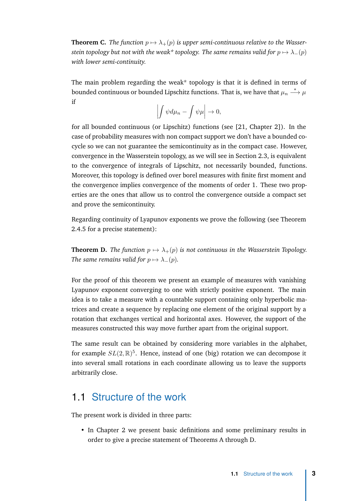<span id="page-14-2"></span>**Theorem C.** *The function*  $p \mapsto \lambda_+(p)$  *is upper semi-continuous relative to the Wasserstein topology but not with the weak\* topology. The same remains valid for*  $p \mapsto \lambda_-(p)$ *with lower semi-continuity.*

The main problem regarding the weak\* topology is that it is defined in terms of bounded continuous or bounded Lipschitz functions. That is, we have that  $\mu_n \stackrel{*}{\longrightarrow} \mu$ if

$$
\left| \int \psi d\mu_n - \int \psi \mu \right| \to 0,
$$

for all bounded continuous (or Lipschitz) functions (see [\[21](#page-63-4), Chapter 2]). In the case of probability measures with non compact support we don't have a bounded cocycle so we can not guarantee the semicontinuity as in the compact case. However, convergence in the Wasserstein topology, as we will see in Section [2.3,](#page-18-0) is equivalent to the convergence of integrals of Lipschitz, not necessarily bounded, functions. Moreover, this topology is defined over borel measures with finite first moment and the convergence implies convergence of the moments of order 1. These two properties are the ones that allow us to control the convergence outside a compact set and prove the semicontinuity.

Regarding continuity of Lyapunov exponents we prove the following (see Theorem [2.4.5](#page-22-0) for a precise statement):

<span id="page-14-1"></span>**Theorem D.** *The function*  $p \mapsto \lambda_+(p)$  *is not continuous in the Wasserstein Topology. The same remains valid for*  $p \mapsto \lambda_-(p)$ *.* 

For the proof of this theorem we present an example of measures with vanishing Lyapunov exponent converging to one with strictly positive exponent. The main idea is to take a measure with a countable support containing only hyperbolic matrices and create a sequence by replacing one element of the original support by a rotation that exchanges vertical and horizontal axes. However, the support of the measures constructed this way move further apart from the original support.

The same result can be obtained by considering more variables in the alphabet, for example *SL*(2*,* R) 5 . Hence, instead of one (big) rotation we can decompose it into several small rotations in each coordinate allowing us to leave the supports arbitrarily close.

#### <span id="page-14-0"></span>1.1 Structure of the work

The present work is divided in three parts:

• In Chapter [2](#page-16-2) we present basic definitions and some preliminary results in order to give a precise statement of Theorems [A](#page-13-0) through [D.](#page-14-1)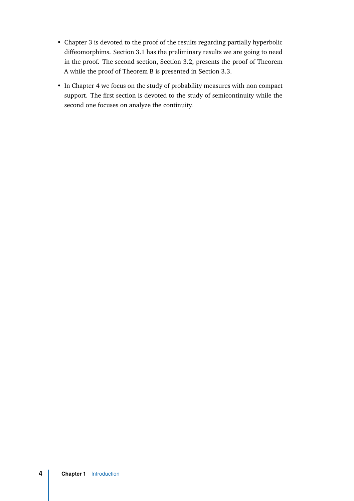- Chapter [3](#page-24-1) is devoted to the proof of the results regarding partially hyperbolic diffeomorphims. Section [3.1](#page-25-0) has the preliminary results we are going to need in the proof. The second section, Section [3.2,](#page-35-0) presents the proof of Theorem [A](#page-13-0) while the proof of Theorem [B](#page-13-1) is presented in Section [3.3.](#page-42-0)
- In Chapter [4](#page-46-3) we focus on the study of probability measures with non compact support. The first section is devoted to the study of semicontinuity while the second one focuses on analyze the continuity.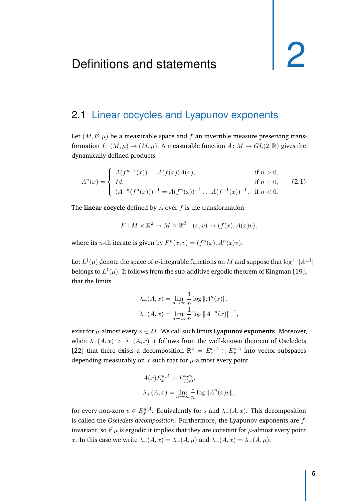#### <span id="page-16-3"></span><span id="page-16-2"></span><span id="page-16-1"></span><span id="page-16-0"></span>2.1 Linear cocycles and Lyapunov exponents

Let  $(M, \mathcal{B}, \mu)$  be a measurable space and f an invertible measure preserving transformation  $f: (M, \mu) \to (M, \mu)$ . A measurable function  $A: M \to GL(2, \mathbb{R})$  gives the dynamically defined products

$$
A^{n}(x) = \begin{cases} A(f^{n-1}(x)) \dots A(f(x))A(x), & \text{if } n > 0, \\ Id, & \text{if } n = 0, \\ (A^{-n}(f^{n}(x)))^{-1} = A(f^{n}(x))^{-1} \dots A(f^{-1}(x))^{-1}, & \text{if } n < 0. \end{cases}
$$
(2.1)

The **linear cocycle** defined by *A* over *f* is the transformation

$$
F: M \times \mathbb{R}^2 \to M \times \mathbb{R}^d \quad (x, v) \mapsto (f(x), A(x)v),
$$

where its *n*-th iterate is given by  $F^n(x, v) = (f^n(x), A^n(x)v)$ .

Let  $L^1(\mu)$  denote the space of  $\mu$ -integrable functions on  $M$  and suppose that  $\log^+ \|A^{\pm 1}\|$ belongs to  $L^1(\mu).$  It follows from the sub-additive ergodic theorem of Kingman [\[19](#page-63-5)], that the limits

$$
\lambda_{+}(A, x) = \lim_{n \to \infty} \frac{1}{n} \log ||A^{n}(x)||,
$$
  

$$
\lambda_{-}(A, x) = \lim_{n \to \infty} \frac{1}{n} \log ||A^{-n}(x)||^{-1},
$$

exist for  $\mu$ -almost every  $x \in M$ . We call such limits **Lyapunov exponents**. Moreover, when  $\lambda_+(A,x) > \lambda_-(A,x)$  it follows from the well-known theorem of Oseledets [\[22\]](#page-63-2) that there exists a decomposition  $\mathbb{R}^2 = E_x^{u,A} \oplus E_x^{s,A}$  into vector subspaces depending measurably on  $x$  such that for  $\mu$ -almost every point

$$
A(x)E_x^{u,A} = E_{f(x)}^{u,A},
$$
  

$$
\lambda_+(A,x) = \lim_{n \to \infty} \frac{1}{n} \log ||A^n(x)v||,
$$

for every non-zero  $v \in E_x^{u,A}$ . Equivalently for *s* and  $\lambda_-(A,x)$ . This decomposition is called the *Oseledets decomposition*. Furthermore, the Lyapunov exponents are *f*invariant, so if  $\mu$  is ergodic it implies that they are constant for  $\mu$ -almost every point *x*. In this case we write  $\lambda_+(A, x) = \lambda_+(A, \mu)$  and  $\lambda_-(A, x) = \lambda_-(A, \mu)$ .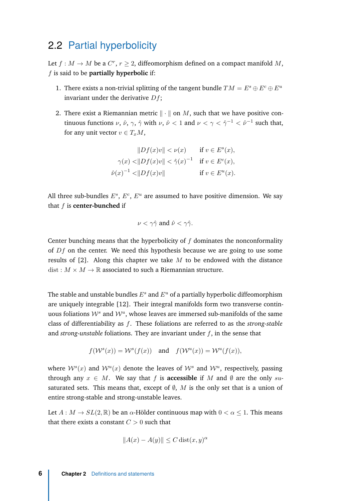#### <span id="page-17-1"></span><span id="page-17-0"></span>2.2 Partial hyperbolicity

Let  $f : M \to M$  be a  $C^r$ ,  $r \geq 2$ , diffeomorphism defined on a compact manifold M, *f* is said to be **partially hyperbolic** if:

- 1. There exists a non-trivial splitting of the tangent bundle  $TM = E^s \oplus E^c \oplus E^u$ invariant under the derivative *Df*;
- 2. There exist a Riemannian metric  $\|\cdot\|$  on *M*, such that we have positive continuous functions  $\nu$ ,  $\hat{\nu}$ ,  $\gamma$ ,  $\hat{\gamma}$  with  $\nu$ ,  $\hat{\nu}$  < 1 and  $\nu$  <  $\gamma$  <  $\hat{\gamma}$ <sup>-1</sup> <  $\hat{\nu}$ <sup>-1</sup> such that, for any unit vector  $v \in T_xM$ ,

$$
||Df(x)v|| < \nu(x) \quad \text{if } v \in E^{s}(x),
$$
  

$$
\gamma(x) < ||Df(x)v|| < \hat{\gamma}(x)^{-1} \quad \text{if } v \in E^{c}(x),
$$
  

$$
\hat{\nu}(x)^{-1} < ||Df(x)v|| \quad \text{if } v \in E^{u}(x).
$$

All three sub-bundles  $E^s$ ,  $E^c$ ,  $E^u$  are assumed to have positive dimension. We say that *f* is **center-bunched** if

$$
\nu < \gamma \hat{\gamma} \text{ and } \hat{\nu} < \gamma \hat{\gamma}.
$$

Center bunching means that the hyperbolicity of *f* dominates the nonconformality of *Df* on the center. We need this hypothesis because we are going to use some results of [\[2](#page-62-5)]. Along this chapter we take *M* to be endowed with the distance dist :  $M \times M \rightarrow \mathbb{R}$  associated to such a Riemannian structure.

The stable and unstable bundles *E<sup>s</sup>* and *E<sup>u</sup>* of a partially hyperbolic diffeomorphism are uniquely integrable [\[12](#page-62-6)]. Their integral manifolds form two transverse continuous foliations  $W^s$  and  $W^u$ , whose leaves are immersed sub-manifolds of the same class of differentiability as *f*. These foliations are referred to as the *strong-stable* and *strong-unstable* foliations. They are invariant under *f*, in the sense that

 $f(W^s(x)) = W^s(f(x))$  and  $f(W^u(x)) = W^u(f(x))$ ,

where  $\mathcal{W}^s(x)$  and  $\mathcal{W}^u(x)$  denote the leaves of  $\mathcal{W}^s$  and  $\mathcal{W}^u$ , respectively, passing through any  $x \in M$ . We say that f is **accessible** if M and  $\emptyset$  are the only *su*saturated sets. This means that, except of  $\emptyset$ ,  $M$  is the only set that is a union of entire strong-stable and strong-unstable leaves.

Let  $A: M \to SL(2, \mathbb{R})$  be an  $\alpha$ -Hölder continuous map with  $0 < \alpha \leq 1$ . This means that there exists a constant *C >* 0 such that

$$
||A(x) - A(y)|| \le C \operatorname{dist}(x, y)^{\alpha}
$$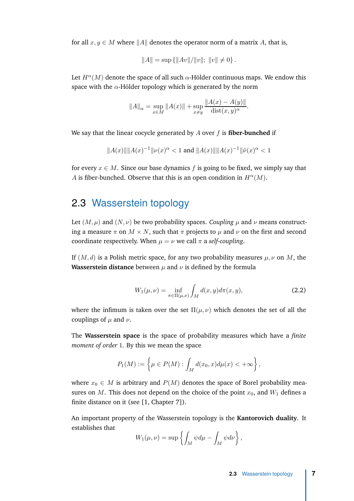<span id="page-18-1"></span>for all  $x, y \in M$  where  $||A||$  denotes the operator norm of a matrix *A*, that is,

$$
||A|| = \sup \{ ||Av||/||v||; ||v|| \neq 0 \}.
$$

Let  $H^{\alpha}(M)$  denote the space of all such  $\alpha$ -Hölder continuous maps. We endow this space with the *α*-Hölder topology which is generated by the norm

$$
||A||_{\alpha} = \sup_{x \in M} ||A(x)|| + \sup_{x \neq y} \frac{||A(x) - A(y)||}{\text{dist}(x, y)^{\alpha}}.
$$

We say that the linear cocycle generated by *A* over *f* is **fiber-bunched** if

$$
||A(x)|| ||A(x)^{-1}|| \nu(x)^{\alpha} < 1 \text{ and } ||A(x)|| ||A(x)^{-1}|| \hat{\nu}(x)^{\alpha} < 1
$$

for every  $x \in M$ . Since our base dynamics f is going to be fixed, we simply say that *A* is fiber-bunched. Observe that this is an open condition in  $H^{\alpha}(M)$ .

## <span id="page-18-0"></span>2.3 Wasserstein topology

Let  $(M, \mu)$  and  $(N, \nu)$  be two probability spaces. *Coupling*  $\mu$  and  $\nu$  means constructing a measure  $\pi$  on  $M \times N$ , such that  $\pi$  projects to  $\mu$  and  $\nu$  on the first and second coordinate respectively. When  $\mu = \nu$  we call  $\pi$  a *self-coupling*.

If  $(M, d)$  is a Polish metric space, for any two probability measures  $\mu, \nu$  on M, the **Wasserstein distance** between  $\mu$  and  $\nu$  is defined by the formula

$$
W_1(\mu, \nu) = \inf_{\pi \in \Pi(\mu, \nu)} \int_M d(x, y) d\pi(x, y), \tag{2.2}
$$

where the infimum is taken over the set  $\Pi(\mu, \nu)$  which denotes the set of all the couplings of  $\mu$  and  $\nu$ .

The **Wasserstein space** is the space of probability measures which have a *finite moment of order* 1. By this we mean the space

$$
P_1(M) := \left\{ \mu \in P(M) : \int_M d(x_0, x) d\mu(x) < +\infty \right\},\,
$$

where  $x_0 \in M$  is arbitrary and  $P(M)$  denotes the space of Borel probability measures on *M*. This does not depend on the choice of the point  $x_0$ , and  $W_1$  defines a finite distance on it (see [\[1](#page-62-7), Chapter 7]).

An important property of the Wasserstein topology is the **Kantorovich duality**. It establishes that

$$
W_1(\mu,\nu) = \sup \left\{ \int_M \psi d\mu - \int_M \psi d\nu \right\},\,
$$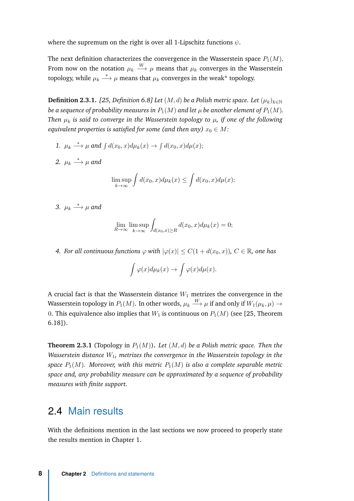<span id="page-19-3"></span>where the supremum on the right is over all 1-Lipschitz functions *ψ*.

The next definition characterizes the convergence in the Wasserstein space  $P_1(M)$ . From now on the notation  $\mu_k \stackrel{W}{\longrightarrow} \mu$  means that  $\mu_k$  converges in the Wasserstein topology, while  $\mu_k \stackrel{*}{\longrightarrow} \mu$  means that  $\mu_k$  converges in the weak\* topology.

<span id="page-19-1"></span>**Definition 2.3.1.** *[\[25](#page-63-6), Definition 6.8] Let*  $(M, d)$  *be a Polish metric space. Let*  $(\mu_k)_{k \in \mathbb{N}}$ *be a sequence of probability measures in*  $P_1(M)$  *and let*  $\mu$  *be another element of*  $P_1(M)$ *. Then µ<sup>k</sup> is said to converge in the Wasserstein topology to µ, if one of the following equivalent properties is satisfied for some (and then any)*  $x_0 \in M$ :

1.  $\mu_k \stackrel{*}{\longrightarrow} \mu$  and  $\int d(x_0, x) d\mu_k(x) \to \int d(x_0, x) d\mu(x);$ 2.  $\mu_k \stackrel{*}{\longrightarrow} \mu$  and Z Z

$$
\limsup_{k \to \infty} \int d(x_0, x) d\mu_k(x) \leq \int d(x_0, x) d\mu(x);
$$

3.  $\mu_k \stackrel{*}{\longrightarrow} \mu$  and

$$
\lim_{R \to \infty} \limsup_{k \to \infty} \int_{d(x_0, x) \ge R} d(x_0, x) d\mu_k(x) = 0;
$$

<span id="page-19-2"></span>*4. For all continuous functions*  $\varphi$  *with*  $|\varphi(x)| \leq C(1 + d(x_0, x))$ ,  $C \in \mathbb{R}$ , *one has* 

$$
\int \varphi(x) d\mu_k(x) \to \int \varphi(x) d\mu(x).
$$

A crucial fact is that the Wasserstein distance  $W_1$  metrizes the convergence in the Wasserstein topology in  $P_1(M).$  In other words,  $\mu_k\stackrel{W}{\longrightarrow} \mu$  if and only if  $W_1(\mu_k,\mu)\to$ 0. This equivalence also implies that  $W_1$  is continuous on  $P_1(M)$  (see [\[25](#page-63-6), Theorem 6.18]).

**Theorem 2.3.1** (Topology in  $P_1(M)$ ). Let  $(M, d)$  be a Polish metric space. Then the *Wasserstein distance W*1*, metrizes the convergence in the Wasserstein topology in the space*  $P_1(M)$ *. Moreover, with this metric*  $P_1(M)$  *is also a complete separable metric space and, any probability measure can be approximated by a sequence of probability measures with finite support.*

#### <span id="page-19-0"></span>2.4 Main results

With the definitions mention in the last sections we now proceed to properly state the results mention in Chapter [1.](#page-12-1)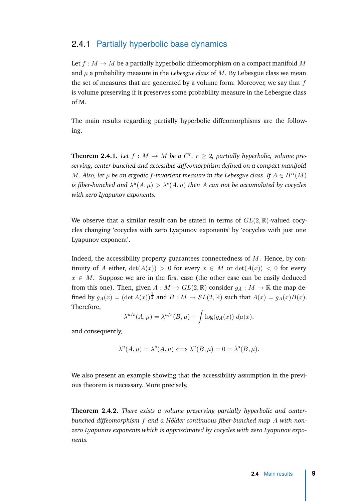#### <span id="page-20-0"></span>2.4.1 Partially hyperbolic base dynamics

Let  $f : M \to M$  be a partially hyperbolic diffeomorphism on a compact manifold M and  $\mu$  a probability measure in the *Lebesgue class* of  $M$ . By Lebesgue class we mean the set of measures that are generated by a volume form. Moreover, we say that *f* is volume preserving if it preserves some probability measure in the Lebesgue class of M.

The main results regarding partially hyperbolic diffeomorphisms are the following.

**Theorem 2.4.1.** Let  $f : M \to M$  be a  $C^r$ ,  $r \geq 2$ , partially hyperbolic, volume pre*serving, center bunched and accessible diffeomorphism defined on a compact manifold M. Also, let*  $\mu$  *be an ergodic f*-invariant measure in the Lebesgue class. If  $A \in H^{\alpha}(M)$ *is fiber-bunched and*  $\lambda^u(A, \mu) > \lambda^s(A, \mu)$  then A can not be accumulated by cocycles *with zero Lyapunov exponents.*

We observe that a similar result can be stated in terms of  $GL(2,\mathbb{R})$ -valued cocycles changing 'cocycles with zero Lyapunov exponents' by 'cocycles with just one Lyapunov exponent'.

Indeed, the accessibility property guarantees connectedness of *M*. Hence, by continuity of *A* either,  $det(A(x)) > 0$  for every  $x \in M$  or  $det(A(x)) < 0$  for every  $x \in M$ . Suppose we are in the first case (the other case can be easily deduced from this one). Then, given  $A: M \to GL(2, \mathbb{R})$  consider  $g_A: M \to \mathbb{R}$  the map defined by  $g_A(x) = (\det A(x))^{\frac{1}{2}}$  and  $B: M \to SL(2, \mathbb{R})$  such that  $A(x) = g_A(x)B(x)$ . Therefore,

$$
\lambda^{u/s}(A,\mu) = \lambda^{u/s}(B,\mu) + \int \log(g_A(x)) \ d\mu(x),
$$

and consequently,

$$
\lambda^{u}(A,\mu) = \lambda^{s}(A,\mu) \Longleftrightarrow \lambda^{u}(B,\mu) = 0 = \lambda^{s}(B,\mu).
$$

We also present an example showing that the accessibility assumption in the previous theorem is necessary. More precisely,

**Theorem 2.4.2.** *There exists a volume preserving partially hyperbolic and centerbunched diffeomorphism f and a Hölder continuous fiber-bunched map A with nonzero Lyapunov exponents which is approximated by cocycles with zero Lyapunov exponents.*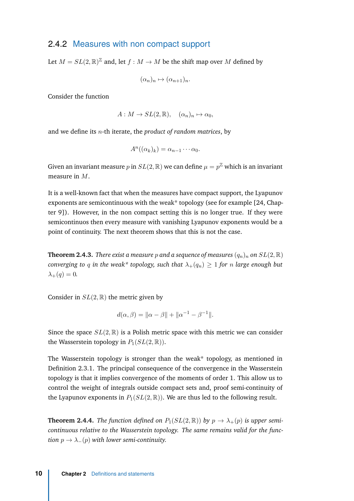#### <span id="page-21-3"></span><span id="page-21-0"></span>2.4.2 Measures with non compact support

Let  $M = SL(2, \mathbb{R})^{\mathbb{Z}}$  and, let  $f : M \to M$  be the shift map over  $M$  defined by

$$
(\alpha_n)_n \mapsto (\alpha_{n+1})_n.
$$

Consider the function

$$
A: M \to SL(2, \mathbb{R}), \quad (\alpha_n)_n \mapsto \alpha_0,
$$

and we define its *n*-th iterate, the *product of random matrices*, by

$$
A^{n}((\alpha_{k})_{k})=\alpha_{n-1}\cdots\alpha_{0}.
$$

Given an invariant measure  $p$  in  $SL(2,\mathbb{R})$  we can define  $\mu = p^{\mathbb{Z}}$  which is an invariant measure in *M*.

It is a well-known fact that when the measures have compact support, the Lyapunov exponents are semicontinuous with the weak\* topology (see for example [\[24,](#page-63-7) Chapter 9]). However, in the non compact setting this is no longer true. If they were semicontinuos then every measure with vanishing Lyapunov exponents would be a point of continuity. The next theorem shows that this is not the case.

<span id="page-21-1"></span>**Theorem 2.4.3.** *There exist a measure p* and a sequence of measures  $(q_n)_n$  on  $SL(2,\mathbb{R})$ *converging to q in the weak\* topology, such that*  $\lambda_+(q_n) \geq 1$  *for n large enough but*  $\lambda_{+}(q) = 0.$ 

Consider in  $SL(2,\mathbb{R})$  the metric given by

$$
d(\alpha, \beta) = \|\alpha - \beta\| + \|\alpha^{-1} - \beta^{-1}\|.
$$

Since the space  $SL(2,\mathbb{R})$  is a Polish metric space with this metric we can consider the Wasserstein topology in  $P_1(SL(2,\mathbb{R}))$ .

The Wasserstein topology is stronger than the weak\* topology, as mentioned in Definition [2.3.1.](#page-19-1) The principal consequence of the convergence in the Wasserstein topology is that it implies convergence of the moments of order 1. This allow us to control the weight of integrals outside compact sets and, proof semi-continuity of the Lyapunov exponents in  $P_1(SL(2,\mathbb{R}))$ . We are thus led to the following result.

<span id="page-21-2"></span>**Theorem 2.4.4.** *The function defined on*  $P_1(SL(2,\mathbb{R}))$  *by*  $p \to \lambda_+(p)$  *is upper semicontinuous relative to the Wasserstein topology. The same remains valid for the function*  $p \to \lambda_-(p)$  *with lower semi-continuity.*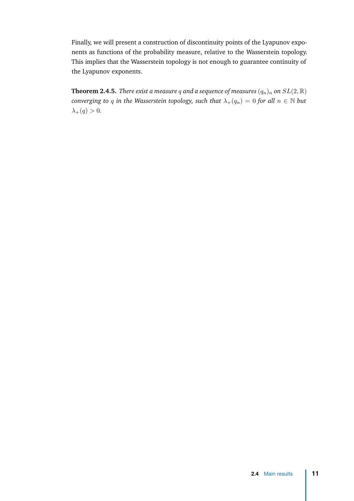Finally, we will present a construction of discontinuity points of the Lyapunov exponents as functions of the probability measure, relative to the Wasserstein topology. This implies that the Wasserstein topology is not enough to guarantee continuity of the Lyapunov exponents.

<span id="page-22-0"></span>**Theorem 2.4.5.** *There exist a measure q and a sequence of measures*  $(q_n)_n$  *on*  $SL(2,\mathbb{R})$ *converging to q in the Wasserstein topology, such that*  $\lambda_+(q_n) = 0$  *for all*  $n \in \mathbb{N}$  *but*  $\lambda_{+}(q) > 0.$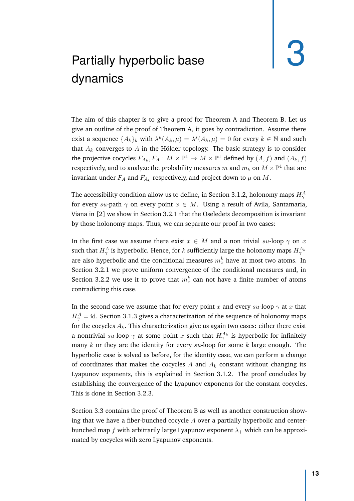# <span id="page-24-2"></span><span id="page-24-1"></span><span id="page-24-0"></span>Partially hyperbolic base dynamics

The aim of this chapter is to give a proof for Theorem [A](#page-13-0) and Theorem [B.](#page-13-1) Let us give an outline of the proof of Theorem [A,](#page-13-0) it goes by contradiction. Assume there exist a sequence  $\{A_k\}_k$  with  $\lambda^u(A_k, \mu) = \lambda^s(A_k, \mu) = 0$  for every  $k \in \mathbb{N}$  and such that  $A_k$  converges to  $A$  in the Hölder topology. The basic strategy is to consider the projective cocycles  $F_{A_k}, F_A: M \times \mathbb{P}^1 \to M \times \mathbb{P}^1$  defined by  $(A, f)$  and  $(A_k, f)$ respectively, and to analyze the probability measures  $m$  and  $m_k$  on  $M\times\mathbb{P}^1$  that are invariant under  $F_A$  and  $F_{A_k}$  respectively, and project down to  $\mu$  on  $M.$ 

The accessibility condition allow us to define, in Section [3.1.2,](#page-27-0) holonomy maps *H<sup>A</sup> γ* for every *su*-path *γ* on every point *x* ∈ *M*. Using a result of Avila, Santamaria, Viana in [\[2](#page-62-5)] we show in Section [3.2.1](#page-36-0) that the Oseledets decomposition is invariant by those holonomy maps. Thus, we can separate our proof in two cases:

In the first case we assume there exist  $x \in M$  and a non trivial  $su$ -loop  $\gamma$  on  $x$ such that  $H^A_\gamma$  is hyperbolic. Hence, for  $k$  sufficiently large the holonomy maps  $H^{A_k}_\gamma$ are also hyperbolic and the conditional measures  $m_x^k$  have at most two atoms. In Section [3.2.1](#page-36-0) we prove uniform convergence of the conditional measures and, in Section [3.2.2](#page-39-0) we use it to prove that  $m_x^k$  can not have a finite number of atoms contradicting this case.

In the second case we assume that for every point *x* and every *su*-loop  $\gamma$  at *x* that  $H^A_\gamma = \mathrm{id}.$  Section [3.1.3](#page-31-0) gives a characterization of the sequence of holonomy maps for the cocycles  $A_k$ . This characterization give us again two cases: either there exist a nontrivial  $su$ -loop  $\gamma$  at some point  $x$  such that  $H^{A_k}_\gamma$  is hyperbolic for infinitely many *k* or they are the identity for every *su*-loop for some *k* large enough. The hyperbolic case is solved as before, for the identity case, we can perform a change of coordinates that makes the cocycles  $A$  and  $A_k$  constant without changing its Lyapunov exponents, this is explained in Section [3.1.2.](#page-27-0) The proof concludes by establishing the convergence of the Lyapunov exponents for the constant cocycles. This is done in Section [3.2.3.](#page-41-0)

Section [3.3](#page-42-0) contains the proof of Theorem [B](#page-13-1) as well as another construction showing that we have a fiber-bunched cocycle *A* over a partially hyperbolic and centerbunched map *f* with arbitrarily large Lyapunov exponent  $\lambda_+$  which can be approximated by cocycles with zero Lyapunov exponents.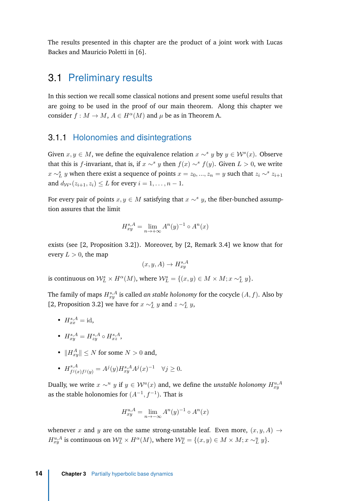<span id="page-25-2"></span>The results presented in this chapter are the product of a joint work with Lucas Backes and Mauricio Poletti in [\[6\]](#page-62-8).

#### <span id="page-25-0"></span>3.1 Preliminary results

In this section we recall some classical notions and present some useful results that are going to be used in the proof of our main theorem. Along this chapter we consider  $f : M \to M$ ,  $A \in H^{\alpha}(M)$  and  $\mu$  be as in Theorem [A.](#page-13-0)

#### <span id="page-25-1"></span>3.1.1 Holonomies and disintegrations

Given  $x, y \in M$ , we define the equivalence relation  $x \sim^s y$  by  $y \in \mathcal{W}^s(x)$ . Observe that this is *f*-invariant, that is, if  $x \sim^{s} y$  then  $f(x) \sim^{s} f(y)$ . Given  $L > 0$ , we write *x* ∼*<sup><i>L*</sup></sup>*L y* when there exist a sequence of points *x* = *z*<sub>0</sub>*, ..., z*<sub>*n*</sub> = *y* such that *z*<sub>*i*</sub> ∼<sup>*s*</sup> *z*<sub>*i*+1</sub></sub> and  $d_{W^s}(z_{i+1}, z_i) \leq L$  for every  $i = 1, ..., n - 1$ .

For every pair of points  $x, y \in M$  satisfying that  $x \sim^{s} y$ , the fiber-bunched assumption assures that the limit

$$
H_{xy}^{s,A} = \lim_{n \to +\infty} A^n(y)^{-1} \circ A^n(x)
$$

exists (see [\[2,](#page-62-5) Proposition 3.2]). Moreover, by [\[2](#page-62-5), Remark 3.4] we know that for every  $L > 0$ , the map

$$
(x, y, A) \to H^{s, A}_{xy}
$$

is continuous on  $\mathcal{W}_{L}^{s} \times H^{\alpha}(M)$ , where  $\mathcal{W}_{L}^{s} = \{(x, y) \in M \times M; x \sim_{L}^{s} y\}.$ 

The family of maps  $H^{s,A}_{xy}$  is called *an stable holonomy* for the cocycle  $(A, f)$ . Also by [\[2](#page-62-5), Proposition 3.2] we have for  $x \sim_L^s y$  and  $z \sim_L^s y$ ,

- $H_{xx}^{s,A} = \text{id},$
- $H_{xy}^{s,A} = H_{zy}^{s,A} \circ H_{xz}^{s,A}$ ,
- $||H_{xy}^A|| \leq N$  for some  $N > 0$  and,

• 
$$
H_{f^j(x)f^j(y)}^{s,A} = A^j(y)H_{xy}^{s,A}A^j(x)^{-1} \quad \forall j \ge 0.
$$

Dually, we write  $x \sim^u y$  if  $y \in \mathcal{W}^u(x)$  and, we define the *unstable holonomy*  $H^{u,A}_{xy}$ as the stable holonomies for  $(A^{-1}, f^{-1})$ . That is

$$
H_{xy}^{u,A} = \lim_{n \to -\infty} A^n(y)^{-1} \circ A^n(x)
$$

whenever *x* and *y* are on the same strong-unstable leaf. Even more,  $(x, y, A) \rightarrow$  $H_{xy}^{u,A}$  is continuous on  $\mathcal{W}_L^u \times H^{\alpha}(M)$ , where  $\mathcal{W}_L^u = \{(x, y) \in M \times M; x \sim_L^u y\}.$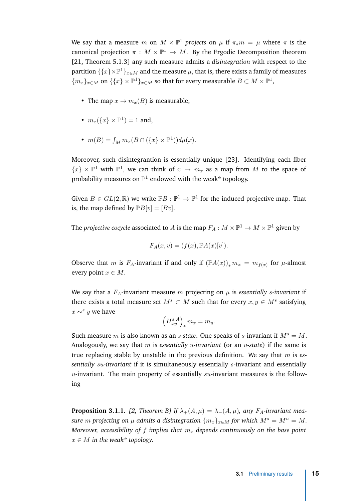<span id="page-26-1"></span>We say that a measure *m* on  $M \times \mathbb{P}^1$  *projects* on  $\mu$  if  $\pi_* m = \mu$  where  $\pi$  is the canonical projection  $\pi : M \times \mathbb{P}^1 \to M$ . By the Ergodic Decomposition theorem [\[21,](#page-63-4) Theorem 5.1.3] any such measure admits a *disintegration* with respect to the partition  $\{\{x\}\times\mathbb{P}^1\}_{x\in M}$  and the measure  $\mu$ , that is, there exists a family of measures  ${m_x}_{x \in M}$  on  ${ \zeta^x \} \times \mathbb{P}^1$ , so that for every measurable  $B \subset M \times \mathbb{P}^1$ ,

- The map  $x \to m_x(B)$  is measurable,
- $m_x({x} \times \mathbb{P}^1) = 1$  and,
- $m(B) = \int_M m_x (B \cap (\{x\} \times \mathbb{P}^1)) d\mu(x)$ .

Moreover, such disintegrantion is essentially unique [\[23](#page-63-8)]. Identifying each fiber  $\{x\} \times \mathbb{P}^1$  with  $\mathbb{P}^1$ , we can think of  $x \to m_x$  as a map from M to the space of probability measures on  $\mathbb{P}^1$  endowed with the weak\* topology.

Given  $B \in GL(2, \mathbb{R})$  we write  $\mathbb{P}B : \mathbb{P}^1 \to \mathbb{P}^1$  for the induced projective map. That is, the map defined by  $\mathbb{P}B[v] = [Bv]$ .

The *projective cocycle* associated to  $A$  is the map  $F_A: M \times \mathbb{P}^1 \to M \times \mathbb{P}^1$  given by

$$
F_A(x,v) = (f(x), \mathbb{P}A(x)[v]).
$$

Observe that *m* is *F<sub>A</sub>*-invariant if and only if  $(\mathbb{P}A(x))_* m_x = m_{f(x)}$  for *µ*-almost every point  $x \in M$ .

We say that a  $F_A$ -invariant measure  $m$  projecting on  $\mu$  is *essentially s-invariant* if there exists a total measure set  $M^s \subset M$  such that for every  $x, y \in M^s$  satisfying  $x \sim$ <sup>*s*</sup> *y* we have

$$
\left(H_{xy}^{s,A}\right)_* m_x = m_y.
$$

Such measure *m* is also known as an *s*-state. One speaks of *s*-invariant if  $M^s = M$ . Analogously, we say that *m* is *essentially u-invariant* (or an *u-state*) if the same is true replacing stable by unstable in the previous definition. We say that *m* is *essentially su-invariant* if it is simultaneously essentially *s*-invariant and essentially *u*-invariant. The main property of essentially *su*-invariant measures is the following

<span id="page-26-0"></span>**Proposition 3.1.1.** [\[2](#page-62-5), Theorem B] If  $\lambda_+(A,\mu) = \lambda_-(A,\mu)$ , any  $F_A$ -invariant mea*sure m* projecting on  $\mu$  admits a disintegration  $\{m_x\}_{x \in M}$  for which  $M^s = M^u = M$ . *Moreover, accessibility of f implies that m<sup>x</sup> depends continuously on the base point*  $x \in M$  *in the weak\* topology.*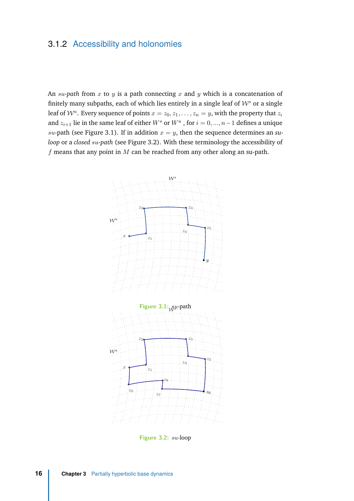#### <span id="page-27-0"></span>3.1.2 Accessibility and holonomies

An *su-path* from *x* to *y* is a path connecting *x* and *y* which is a concatenation of finitely many subpaths, each of which lies entirely in a single leaf of  $W^s$  or a single leaf of  $\mathcal{W}^u$  . Every sequence of points  $x = z_0, z_1, \ldots, z_n = y$ , with the property that  $z_i$ and  $z_{i+1}$  lie in the same leaf of either  $W^s$  or  $W^u$  , for  $i = 0, ..., n-1$  defines a unique  $su$ -path (see Figure [3.1\)](#page-27-1). If in addition  $x = y$ , then the sequence determines an *suloop* or a *closed su-path* (see Figure [3.2\)](#page-27-2). With these terminology the accessibility of *f* means that any point in *M* can be reached from any other along an su-path.

<span id="page-27-2"></span><span id="page-27-1"></span>

**Figure 3.2:** *su*-loop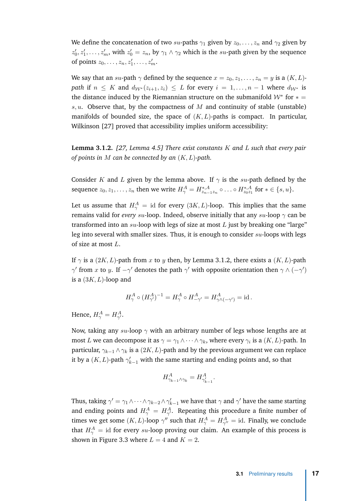<span id="page-28-1"></span>We define the concatenation of two *su*-paths  $\gamma_1$  given by  $z_0, \ldots, z_n$  and  $\gamma_2$  given by  $z'_0, z'_1, \ldots, z'_m$ , with  $z'_0 = z_n$ , by  $\gamma_1 \wedge \gamma_2$  which is the *su*-path given by the sequence of points  $z_0, \ldots, z_n, z'_1, \ldots, z'_m$ .

We say that an *su*-path  $\gamma$  defined by the sequence  $x = z_0, z_1, \dots, z_n = y$  is a  $(K, L)$ *path* if  $n \leq K$  and  $d_{\mathcal{W}^*}(z_{i+1}, z_i) \leq L$  for every  $i = 1, \ldots, n-1$  where  $d_{\mathcal{W}^*}$  is the distance induced by the Riemannian structure on the submanifold  $\mathcal{W}^*$  for  $* =$ *s, u*. Observe that, by the compactness of *M* and continuity of stable (unstable) manifolds of bounded size, the space of  $(K, L)$ -paths is compact. In particular, Wilkinson [\[27](#page-63-9)] proved that accessibility implies uniform accessibility:

<span id="page-28-0"></span>**Lemma 3.1.2.** *[\[27,](#page-63-9) Lemma 4.5] There exist constants K and L such that every pair of points in M can be connected by an* (*K, L*)*-path.*

Consider *K* and *L* given by the lemma above. If  $\gamma$  is the *su*-path defined by the sequence  $z_0, z_1, \ldots, z_n$  then we write  $H^A_\gamma = H^{*,A}_{z_{n-1}z_n} \circ \ldots \circ H^{*,A}_{z_0z_1}$  for  $* \in \{s, u\}.$ 

Let us assume that  $H^A_\gamma = \mathrm{id}$  for every  $(3K,L)$ -loop. This implies that the same remains valid for *every su*-loop. Indeed, observe initially that any *su*-loop *γ* can be transformed into an *su*-loop with legs of size at most *L* just by breaking one "large" leg into several with smaller sizes. Thus, it is enough to consider *su*-loops with legs of size at most *L*.

If  $\gamma$  is a (2*K, L*)-path from *x* to *y* then, by Lemma [3.1.2,](#page-28-0) there exists a (*K, L*)-path *γ*' from *x* to *y*. If  $-\gamma'$  denotes the path  $\gamma'$  with opposite orientation then  $\gamma \wedge (-\gamma')$ is a (3*K, L*)-loop and

$$
H^A_{\gamma} \circ (H^A_{\gamma'})^{-1} = H^A_{\gamma} \circ H^A_{-\gamma'} = H^A_{\gamma \wedge (-\gamma')} = \text{id} \, .
$$

Hence,  $H^A_\gamma = H^A_{\gamma^\prime}$ .

Now, taking any *su*-loop *γ* with an arbitrary number of legs whose lengths are at most  $L$  we can decompose it as  $\gamma = \gamma_1 \wedge \cdots \wedge \gamma_k,$  where every  $\gamma_i$  is a  $(K, L)$ -path. In particular,  $\gamma_{k-1} \wedge \gamma_k$  is a (2*K, L*)-path and by the previous argument we can replace it by a  $(K, L)$ -path  $\gamma_{k-1}'$  with the same starting and ending points and, so that

$$
H^A_{\gamma_{k-1}\wedge\gamma_k}=H^A_{\gamma'_{k-1}}.
$$

Thus, taking  $\gamma'=\gamma_1\wedge\dots\wedge\gamma_{k-2}\wedge\gamma_{k-1}'$  we have that  $\gamma$  and  $\gamma'$  have the same starting and ending points and  $H_{\gamma}^A = H_{\gamma'}^A$ . Repeating this procedure a finite number of times we get some  $(K, L)$ -loop  $\gamma''$  such that  $H_{\gamma}^A = H_{\gamma''}^A = \text{id}$ . Finally, we conclude that  $H^A_\gamma = \mathrm{id}$  for every  $su\text{-loop}$  proving our claim. An example of this process is shown in Figure [3.3](#page-29-0) where  $L = 4$  and  $K = 2$ .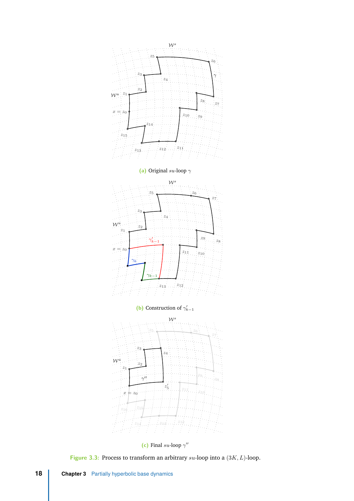<span id="page-29-0"></span>

**(c)** Final *su*-loop *γ* ′′

**Figure 3.3:** Process to transform an arbitrary *su*-loop into a (3*K, L*)-loop.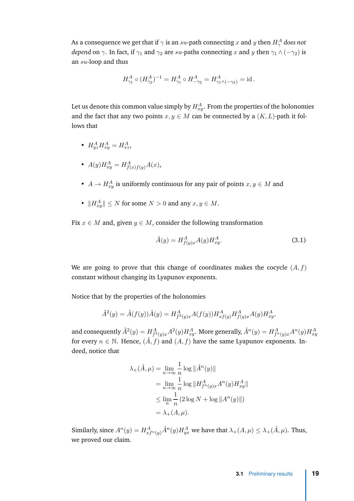As a consequence we get that if  $\gamma$  is an  $su$ -path connecting  $x$  and  $y$  then  $H_\gamma^A$  does not *depend* on  $\gamma$ . In fact, if  $\gamma_1$  and  $\gamma_2$  are *su*-paths connecting *x* and *y* then  $\gamma_1 \wedge (-\gamma_2)$  is an *su*-loop and thus

$$
H^A_{\gamma_1}\circ (H^A_{\gamma_2})^{-1}=H^A_{\gamma_1}\circ H^A_{-\gamma_2}=H^A_{\gamma_1\wedge (-\gamma_2)}=\operatorname{id}.
$$

Let us denote this common value simply by  $H_{xy}^A.$  From the properties of the holonomies and the fact that any two points  $x, y \in M$  can be connected by a  $(K, L)$ -path it follows that

- $H_{yz}^{A}H_{xy}^{A} = H_{xz}^{A}$
- $A(y)H_{xy}^A = H_{f(x)f(y)}^A A(x)$ ,
- $A \rightarrow H_{xy}^A$  is uniformly continuous for any pair of points  $x, y \in M$  and
- $||H_{xy}^A|| \leq N$  for some  $N > 0$  and any  $x, y \in M$ .

Fix  $x \in M$  and, given  $y \in M$ , consider the following transformation

<span id="page-30-0"></span>
$$
\hat{A}(y) = H_{f(y)x}^{A} A(y) H_{xy}^{A}.
$$
\n(3.1)

We are going to prove that this change of coordinates makes the cocycle (*A, f*) constant without changing its Lyapunov exponents.

Notice that by the properties of the holonomies

$$
\hat{A}^{2}(y) = \hat{A}(f(y))\hat{A}(y) = H_{f^{2}(y)x}^{A}A(f(y))H_{xf(y)}^{A}H_{f(y)x}^{A}A(y)H_{xy}^{A},
$$

and consequently  $\hat{A}^2(y)=H_{f^2(y)x}^AA^2(y)H_{xy}^A.$  More generally,  $\hat{A}^n(y)=H_{f^n(y)x}^AA^n(y)H_{xy}^AA$ for every  $n \in \mathbb{N}$ . Hence,  $(\hat{A}, f)$  and  $(A, f)$  have the same Lyapunov exponents. Indeed, notice that

$$
\lambda_{+}(\hat{A}, \mu) = \lim_{n \to \infty} \frac{1}{n} \log ||\hat{A}^{n}(y)||
$$
  
= 
$$
\lim_{n \to \infty} \frac{1}{n} \log ||H_{f^{n}(y)x}^{A} A^{n}(y) H_{xy}^{A}||
$$
  

$$
\leq \lim_{n} \frac{1}{n} (2 \log N + \log ||A^{n}(y)||)
$$
  
= 
$$
\lambda_{+}(A, \mu).
$$

Similarly, since  $A^n(y) = H^A_{xf^n(y)} \hat{A}^n(y) H^A_{yx}$  we have that  $\lambda_+(A, \mu) \leq \lambda_+(\hat{A}, \mu)$ . Thus, we proved our claim.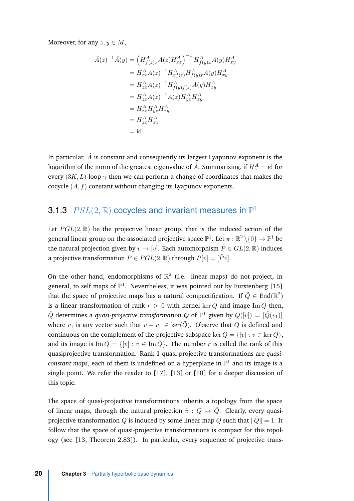<span id="page-31-1"></span>Moreover, for any  $z, y \in M$ ,

$$
\hat{A}(z)^{-1}\hat{A}(y) = (H_{f(z)x}^{A}A(z)H_{xz}^{A})^{-1} H_{f(y)x}^{A}A(y)H_{xy}^{A}
$$
\n
$$
= H_{zx}^{A}A(z)^{-1}H_{xf(z)}^{A}H_{f(y)x}^{A}A(y)H_{xy}^{A}
$$
\n
$$
= H_{zx}^{A}A(z)^{-1}H_{f(y)f(z)}^{A}A(y)H_{xy}^{A}
$$
\n
$$
= H_{zx}^{A}A(z)^{-1}A(z)H_{yz}^{A}H_{xy}^{A}
$$
\n
$$
= H_{zx}^{A}H_{yz}^{A}H_{xy}^{A}
$$
\n
$$
= H_{zx}^{A}H_{xz}^{A}
$$
\n
$$
= id.
$$

In particular,  $\hat{A}$  is constant and consequently its largest Lyapunov exponent is the logarithm of the norm of the greatest eigenvalue of  $\hat{A}$ . Summarizing, if  $H_\gamma^A = \mathrm{id}$  for every  $(3K, L)$ -loop  $\gamma$  then we can perform a change of coordinates that makes the cocycle (*A, f*) constant without changing its Lyapunov exponents.

#### <span id="page-31-0"></span>3.1.3  $PSL(2, \mathbb{R})$  cocycles and invariant measures in  $\mathbb{P}^1$

Let  $PGL(2,\mathbb{R})$  be the projective linear group, that is the induced action of the general linear group on the associated projective space  $\mathbb{P}^1.$  Let  $\pi:\mathbb{R}^2\setminus\{0\}\to\mathbb{P}^1$  be the natural projection given by  $v \mapsto [v]$ . Each automorphism  $\tilde{P} \in GL(2,\mathbb{R})$  induces a projective transformation  $P \in PGL(2,\mathbb{R})$  through  $P[v] = [\tilde{P}v]$ .

On the other hand, endomorphisms of  $\mathbb{R}^2$  (i.e. linear maps) do not project, in general, to self maps of  $\mathbb{P}^1$ . Nevertheless, it was pointed out by Furstenberg [\[15\]](#page-63-0) that the space of projective maps has a natural compactification. If  $\tilde{Q}\in \text{End}(\mathbb{R}^2)$ is a linear transformation of rank  $r > 0$  with kernel ker  $\tilde{Q}$  and image Im  $\tilde{Q}$  then,  $\tilde{Q}$  determines a *quasi-projective transformation*  $Q$  *of*  $\mathbb{P}^1$  *given by*  $Q([v]) = [\tilde{Q}(v_1)]$ where  $v_1$  is any vector such that  $v - v_1 \in \text{ker}(\tilde{Q})$ . Observe that *Q* is defined and continuous on the complement of the projective subspace ker  $Q = \{v : v \in \text{ker } \tilde{Q}\},\$ and its image is  $\text{Im } Q = \{ [v] : v \in \text{Im } \tilde{Q} \}$ . The number *r* is called the rank of this quasiprojective transformation. Rank 1 quasi-projective transformations are *quasiconstant maps*, each of them is undefined on a hyperplane in  $\mathbb{P}^1$  and its image is a single point. We refer the reader to [\[17\]](#page-63-10), [\[13\]](#page-62-9) or [\[10\]](#page-62-10) for a deeper discussion of this topic.

The space of quasi-projective transformations inherits a topology from the space of linear maps, through the natural projection  $\tilde{\pi}: Q \mapsto \tilde{Q}$ . Clearly, every quasiprojective transformation *Q* is induced by some linear map  $\tilde{Q}$  such that  $\|\tilde{Q}\| = 1$ . It follow that the space of quasi-projective transformations is compact for this topology (see [\[13](#page-62-9), Theorem 2.83]). In particular, every sequence of projective trans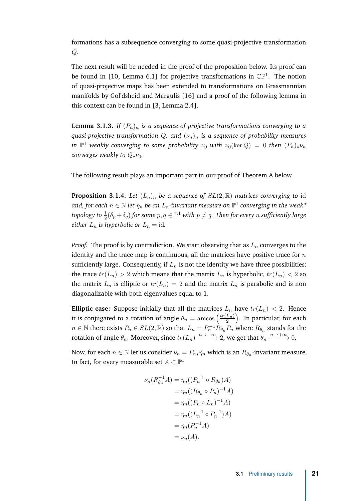<span id="page-32-2"></span>formations has a subsequence converging to some quasi-projective transformation *Q*.

The next result will be needed in the proof of the proposition below. Its proof can be found in [\[10,](#page-62-10) Lemma 6.1] for projective transformations in  $\mathbb{CP}^1$ . The notion of quasi-projective maps has been extended to transformations on Grassmannian manifolds by Gol'dsheid and Margulis [\[16](#page-63-11)] and a proof of the following lemma in this context can be found in [\[3,](#page-62-11) Lemma 2.4].

<span id="page-32-0"></span>**Lemma 3.1.3.** *If*  $(P_n)_n$  *is a sequence of projective transformations converging to a quasi-projective transformation Q, and* (*νn*)*<sup>n</sup> is a sequence of probability measures in*  $\mathbb{P}^1$  weakly converging to some probability  $\nu_0$  with  $\nu_0(\ker Q) = 0$  then  $(P_n)_*\nu_n$ *converges weakly to*  $Q_*ν_0$ *.* 

The following result plays an important part in our proof of Theorem [A](#page-13-0) below.

<span id="page-32-1"></span>**Proposition 3.1.4.** *Let*  $(L_n)_n$  *be a sequence of*  $SL(2,\mathbb{R})$  *matrices converging to* id and, for each  $n \in \mathbb{N}$  let  $\eta_n$  be an  $L_n$ -invariant measure on  $\mathbb{P}^1$  converging in the weak\* topology to  $\frac{1}{2}(\delta_p+\delta_q)$  for some  $p,q\in\mathbb{P}^1$  with  $p\neq q.$  Then for every  $n$  sufficiently large *either*  $L_n$  *is hyperbolic or*  $L_n = id$ *.* 

*Proof.* The proof is by contradiction. We start observing that as  $L_n$  converges to the identity and the trace map is continuous, all the matrices have positive trace for *n* sufficiently large. Consequently, if  $L_n$  is not the identity we have three possibilities: the trace  $tr(L_n) > 2$  which means that the matrix  $L_n$  is hyperbolic,  $tr(L_n) < 2$  so the matrix  $L_n$  is elliptic or  $tr(L_n) = 2$  and the matrix  $L_n$  is parabolic and is non diagonalizable with both eigenvalues equal to 1.

**Elliptic case:** Suppose initially that all the matrices  $L_n$  have  $tr(L_n) < 2$ . Hence it is conjugated to a rotation of angle  $\theta_n = \arccos\left(\frac{tr(L_n)}{2}\right)$  $\left(\frac{L_n)}{2}\right)$ . In particular, for each  $n \in \mathbb{N}$  there exists  $P_n \in SL(2,\mathbb{R})$  so that  $L_n = P_n^{-1} \dot{R}_{\theta_n} P_n$  where  $R_{\theta_n}$  stands for the rotation of angle  $\theta_n.$  Moreover, since  $tr(L_n) \xrightarrow{n \to +\infty} 2,$  we get that  $\theta_n \xrightarrow{n \to +\infty} 0.$ 

Now, for each  $n \in \mathbb{N}$  let us consider  $\nu_n = P_{n*}\eta_n$  which is an  $R_{\theta_n}$ -invariant measure. In fact, for every measurable set  $A \subset \mathbb{P}^1$ 

$$
\nu_n(R_{\theta_n}^{-1}A) = \eta_n((P_n^{-1} \circ R_{\theta_n})A)
$$
  
=  $\eta_n((R_{\theta_n} \circ P_n)^{-1}A)$   
=  $\eta_n((P_n \circ L_n)^{-1}A)$   
=  $\eta_n((L_n^{-1} \circ P_n^{-1})A)$   
=  $\eta_n(P_n^{-1}A)$   
=  $\nu_n(A).$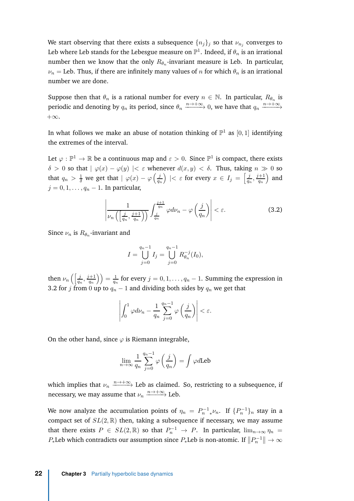We start observing that there exists a subsequence  $\{n_j\}_j$  so that  $\nu_{n_j}$  converges to Leb where Leb stands for the Lebesgue measure on  $\mathbb{P}^1.$  Indeed, if  $\theta_n$  is an irrational number then we know that the only  $R_{\theta_n}$ -invariant measure is Leb. In particular,  $\nu_n$  = Leb. Thus, if there are infinitely many values of *n* for which  $\theta_n$  is an irrational number we are done.

Suppose then that  $\theta_n$  is a rational number for every  $n \in \mathbb{N}$ . In particular,  $R_{\theta_n}$  is periodic and denoting by  $q_n$  its period, since  $\theta_n \xrightarrow{n \to +\infty} 0$ , we have that  $q_n \xrightarrow{n \to +\infty}$  $+\infty$ .

In what follows we make an abuse of notation thinking of  $\mathbb{P}^1$  as  $[0,1]$  identifying the extremes of the interval.

Let  $\varphi : \mathbb{P}^1 \to \mathbb{R}$  be a continuous map and  $\varepsilon > 0$ . Since  $\mathbb{P}^1$  is compact, there exists *δ* > 0 so that  $|$  *ϕ*(*x*) − *ϕ*(*y*)  $|$  < *ε* whenever *d*(*x, y*) < *δ*. Thus, taking *n*  $\gg$  0 so that  $q_n > \frac{1}{\delta}$  we get that  $|\varphi(x) - \varphi\left(\frac{j}{q_n}\right)|$  $\left(\frac{j}{q_n}\right)$   $|<\varepsilon$  for every  $x\in I_j=\left[\frac{j}{q_n}\right]$  $\frac{j}{q_n}, \frac{j+1}{q_n}$  $\left(\frac{+1}{q_n}\right)$  and *j* = 0, 1, . . . , *q<sub>n</sub>* − 1. In particular,

<span id="page-33-0"></span>
$$
\left| \frac{1}{\nu_n\left(\left[\frac{j}{q_n}, \frac{j+1}{q_n}\right]\right)} \int_{\frac{j}{q_n}}^{\frac{j+1}{q_n}} \varphi d\nu_n - \varphi\left(\frac{j}{q_n}\right) \right| < \varepsilon. \tag{3.2}
$$

Since  $\nu_n$  is  $R_{\theta_n}$ -invariant and

$$
I = \bigcup_{j=0}^{q_n-1} I_j = \bigcup_{j=0}^{q_n-1} R_{\theta_n}^{-j}(I_0),
$$

then  $\nu_n \left( \left[ \frac{j}{q_n}, \frac{j+1}{q_n} \right] \right)$  $\left(\frac{q_{n}}{q_{n}}\right)\Big)=\frac{1}{q_{n}}$  $\frac{1}{q_n}$  for every  $j = 0, 1, \ldots, q_n - 1$ . Summing the expression in [3.2](#page-33-0) for *j* from 0 up to  $q_n - 1$  and dividing both sides by  $q_n$  we get that

$$
\left| \int_0^1 \varphi d\nu_n - \frac{1}{q_n} \sum_{j=0}^{q_n-1} \varphi\left(\frac{j}{q_n}\right) \right| < \varepsilon.
$$

On the other hand, since  $\varphi$  is Riemann integrable,

$$
\lim_{n \to \infty} \frac{1}{q_n} \sum_{j=0}^{q_n - 1} \varphi \left( \frac{j}{q_n} \right) = \int \varphi d \text{Leb}
$$

which implies that  $\nu_n \xrightarrow{n\to+\infty}$  Leb as claimed. So, restricting to a subsequence, if necessary, we may assume that  $\nu_n \xrightarrow{n \to +\infty}$  Leb.

We now analyze the accumulation points of  $\eta_n = P_n^{-1} \psi_n$ . If  $\{P_n^{-1}\}_n$  stay in a compact set of  $SL(2,\mathbb{R})$  then, taking a subsequence if necessary, we may assume that there exists  $P \in SL(2, \mathbb{R})$  so that  $P_n^{-1} \to P$ . In particular,  $\lim_{n\to\infty} \eta_n =$  $P_*$ Leb which contradicts our assumption since  $P_*$ Leb is non-atomic. If  $||P_n^{-1}|| \to \infty$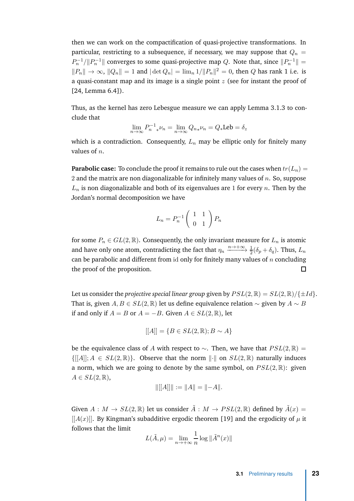<span id="page-34-0"></span>then we can work on the compactification of quasi-projective transformations. In particular, restricting to a subsequence, if necessary, we may suppose that  $Q_n =$  $P_n^{-1}/||P_n^{-1}||$  converges to some quasi-projective map *Q*. Note that, since  $||P_n^{-1}|| =$  $||P_n||$  → ∞,  $||Q_n|| = 1$  and  $|\det Q_n| = \lim_{n} 1/||P_n||^2 = 0$ , then *Q* has rank 1 i.e. is a quasi-constant map and its image is a single point *z* (see for instant the proof of [\[24,](#page-63-7) Lemma 6.4]).

Thus, as the kernel has zero Lebesgue measure we can apply Lemma [3.1.3](#page-32-0) to conclude that

$$
\lim_{n \to \infty} P_n^{-1} \cdot \nu_n = \lim_{n \to \infty} Q_{n} \cdot \nu_n = Q \cdot \text{Leb} = \delta_z
$$

which is a contradiction. Consequently,  $L_n$  may be elliptic only for finitely many values of *n*.

**Parabolic case:** To conclude the proof it remains to rule out the cases when  $tr(L_n)$  = 2 and the matrix are non diagonalizable for infinitely many values of *n*. So, suppose  $L_n$  is non diagonalizable and both of its eigenvalues are 1 for every  $n$ . Then by the Jordan's normal decomposition we have

$$
L_n = P_n^{-1} \left( \begin{array}{cc} 1 & 1 \\ 0 & 1 \end{array} \right) P_n
$$

for some  $P_n \in GL(2,\mathbb{R})$ . Consequently, the only invariant measure for  $L_n$  is atomic and have only one atom, contradicting the fact that  $\eta_n \xrightarrow{n \to +\infty} \frac{1}{2} (\delta_p + \delta_q)$ . Thus,  $L_n$ can be parabolic and different from id only for finitely many values of *n* concluding the proof of the proposition.  $\Box$ 

Let us consider the *projective special linear group* given by  $PSL(2,\mathbb{R}) = SL(2,\mathbb{R}) / \{\pm Id\}.$ That is, given *A, B* ∈ *SL*(2, ℝ) let us define equivalence relation  $\sim$  given by *A*  $\sim$  *B* if and only if  $A = B$  or  $A = -B$ . Given  $A \in SL(2, \mathbb{R})$ , let

$$
[[A]] = \{ B \in SL(2, \mathbb{R}) ; B \sim A \}
$$

be the equivalence class of *A* with respect to  $\sim$ . Then, we have that  $PSL(2,\mathbb{R}) =$  $\{[[A]]; A \in SL(2,\mathbb{R})\}.$  Observe that the norm  $\|\cdot\|$  on  $SL(2,\mathbb{R})$  naturally induces a norm, which we are going to denote by the same symbol, on *PSL*(2*,* R): given  $A \in SL(2,\mathbb{R}),$ 

$$
\|[[A]]\|:=\|A\|=\|-A\|.
$$

Given  $A: M \to SL(2,\mathbb{R})$  let us consider  $\tilde{A}: M \to PSL(2,\mathbb{R})$  defined by  $\tilde{A}(x) =$  $[[A(x)]]$ . By Kingman's subadditive ergodic theorem [\[19](#page-63-5)] and the ergodicity of  $\mu$  it follows that the limit

$$
L(\tilde{A}, \mu) = \lim_{n \to +\infty} \frac{1}{n} \log \| \tilde{A}^n(x) \|
$$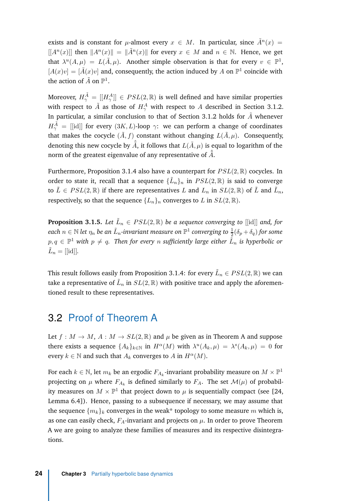<span id="page-35-2"></span>exists and is constant for *µ*-almost every  $x \in M$ . In particular, since  $\tilde{A}^n(x) =$  $[[A<sup>n</sup>(x)]]$  then  $||A<sup>n</sup>(x)|| = ||\tilde{A}<sup>n</sup>(x)||$  for every  $x \in M$  and  $n \in \mathbb{N}$ . Hence, we get that  $\lambda^u(A,\mu) = L(\tilde{A},\mu)$ . Another simple observation is that for every  $v \in \mathbb{P}^1$ ,  $[A(x)v] = [\tilde{A}(x)v]$  and, consequently, the action induced by A on  $\mathbb{P}^1$  coincide with the action of  $\tilde{A}$  on  $\mathbb{P}^1$ .

Moreover,  $H^{\tilde{A}}_{\gamma} = [[H^A_{\gamma}]] \in PSL(2,\mathbb{R})$  is well defined and have similar properties with respect to  $\tilde{A}$  as those of  $H_{\gamma}^A$  with respect to  $A$  described in Section [3.1.2.](#page-27-0) In particular, a similar conclusion to that of Section [3.1.2](#page-27-0) holds for  $\tilde{A}$  whenever  $H^{\tilde{A}}_{\gamma}$  = [[id]] for every  $(3K,L)$ -loop  $\gamma$ : we can perform a change of coordinates that makes the cocycle  $(\tilde{A}, f)$  constant without changing  $L(\tilde{A}, \mu)$ . Consequently, denoting this new cocycle by  $\hat{\tilde{A}}$ , it follows that  $L(\tilde{A}, \mu)$  is equal to logarithm of the norm of the greatest eigenvalue of any representative of  $\hat{\tilde{A}}.$ 

Furthermore, Proposition [3.1.4](#page-32-1) also have a counterpart for *PSL*(2*,* R) cocycles. In order to state it, recall that a sequence  $\{\tilde{L}_n\}_n$  in  $PSL(2, \mathbb{R})$  is said to converge to  $\tilde{L} \in PSL(2,\mathbb{R})$  if there are representatives *L* and  $L_n$  in  $SL(2,\mathbb{R})$  of  $\tilde{L}$  and  $\tilde{L}_n$ , respectively, so that the sequence  ${L_n}_n$  converges to *L* in  $SL(2, \mathbb{R})$ .

<span id="page-35-1"></span>**Proposition 3.1.5.** Let  $\tilde{L}_n \in PSL(2,\mathbb{R})$  be a sequence converging to [[id]] and, for  $e$  *each*  $n \in \mathbb{N}$  *let*  $\eta_n$  *be an*  $\tilde{L}_n$ *-invariant measure on*  $\mathbb{P}^1$  *converging to*  $\frac{1}{2}(\delta_p+\delta_q)$  *for some*  $p,q \in \mathbb{P}^1$  with  $p \neq q$ . Then for every  $n$  sufficiently large either  $\tilde{L}_n$  is hyperbolic or  $\tilde{L}_n = [[id]].$ 

This result follows easily from Proposition [3.1.4:](#page-32-1) for every  $\tilde{L}_n \in PSL(2,\mathbb{R})$  we can take a representative of  $\tilde{L}_n$  in  $SL(2,\mathbb{R})$  with positive trace and apply the aforementioned result to these representatives.

#### <span id="page-35-0"></span>3.2 Proof of Theorem [A](#page-13-0)

Let  $f : M \to M$ ,  $A : M \to SL(2, \mathbb{R})$  and  $\mu$  be given as in Theorem [A](#page-13-0) and suppose there exists a sequence  $\{A_k\}_{k\in\mathbb{N}}$  in  $H^{\alpha}(M)$  with  $\lambda^u(A_k,\mu) = \lambda^s(A_k,\mu) = 0$  for every  $k \in \mathbb{N}$  and such that  $A_k$  converges to  $A$  in  $H^{\alpha}(M)$ .

For each  $k \in \mathbb{N}$ , let  $m_k$  be an ergodic  $F_{A_k}$ -invariant probability measure on  $M \times \mathbb{P}^1$ projecting on  $\mu$  where  $F_{A_k}$  is defined similarly to  $F_A$ . The set  $\mathcal{M}(\mu)$  of probability measures on  $M \times \mathbb{P}^1$  that project down to  $\mu$  is sequentially compact (see [\[24](#page-63-7), Lemma 6.4]). Hence, passing to a subsequence if necessary, we may assume that the sequence  ${m_k}_k$  converges in the weak\* topology to some measure  $m$  which is, as one can easily check,  $F_A$ -invariant and projects on  $\mu$ . In order to prove Theorem [A](#page-13-0) we are going to analyze these families of measures and its respective disintegrations.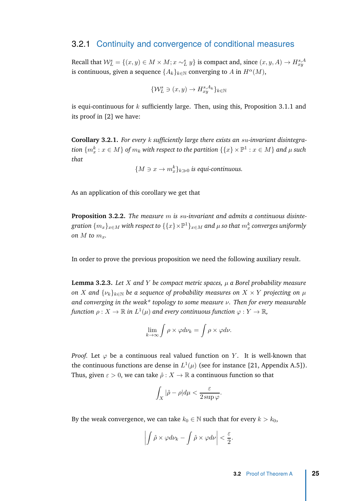#### <span id="page-36-4"></span><span id="page-36-0"></span>3.2.1 Continuity and convergence of conditional measures

Recall that  $\mathcal{W}_L^s = \{(x, y) \in M \times M; x \sim_L^s y\}$  is compact and, since  $(x, y, A) \rightarrow H_{xy}^{s, A}$ is continuous, given a sequence  $\{A_k\}_{k\in\mathbb{N}}$  converging to *A* in  $H^{\alpha}(M)$ ,

$$
\{\mathcal{W}_L^s \ni (x, y) \to H^{s, A_k}_{xy}\}_{k \in \mathbb{N}}
$$

is equi-continuous for *k* sufficiently large. Then, using this, Proposition [3.1.1](#page-26-0) and its proof in [\[2](#page-62-5)] we have:

<span id="page-36-2"></span>**Corollary 3.2.1.** *For every k sufficiently large there exists an su-invariant disintegra-* $\{m_x^k: x\in M\}$  of  $m_k$  with respect to the partition  $\{\{x\}\times \mathbb{P}^1: x\in M\}$  and  $\mu$  such *that*

 ${M \ni x → m_x^k}$ <sub>*k* $\gg$ 0</sub> *is equi-continuous.* 

As an application of this corollary we get that

<span id="page-36-1"></span>**Proposition 3.2.2.** *The measure m is su-invariant and admits a continuous disinte* $g$ ration  $\{m_x\}_{x \in M}$  with respect to  $\{\{x\}\times \mathbb{P}^1\}_{x \in M}$  and  $\mu$  so that  $m_x^k$  converges uniformly *on*  $M$  *to*  $m_x$ *.* 

In order to prove the previous proposition we need the following auxiliary result.

<span id="page-36-3"></span>**Lemma 3.2.3.** *Let X and Y be compact metric spaces, µ a Borel probability measure on X* and  $\{\nu_k\}_{k\in\mathbb{N}}$  *be a sequence of probability measures on*  $X \times Y$  *projecting on*  $\mu$ *and converging in the weak\* topology to some measure ν. Then for every measurable*  $f$ unction  $\rho: X \to \mathbb{R}$  in  $L^1(\mu)$  and every continuous function  $\varphi: Y \to \mathbb{R}$ ,

$$
\lim_{k \to \infty} \int \rho \times \varphi d\nu_k = \int \rho \times \varphi d\nu.
$$

*Proof.* Let  $\varphi$  be a continuous real valued function on *Y*. It is well-known that the continuous functions are dense in  $L^1(\mu)$  (see for instance [\[21](#page-63-4), Appendix A.5]). Thus, given  $\varepsilon > 0$ , we can take  $\hat{\rho}: X \to \mathbb{R}$  a continuous function so that

$$
\int_X |\hat{\rho} - \rho| d\mu < \frac{\varepsilon}{2 \sup \varphi}.
$$

By the weak convergence, we can take  $k_0 \in \mathbb{N}$  such that for every  $k > k_0$ ,

$$
\left| \int \hat{\rho} \times \varphi d\nu_k - \int \hat{\rho} \times \varphi d\nu \right| < \frac{\varepsilon}{2}.
$$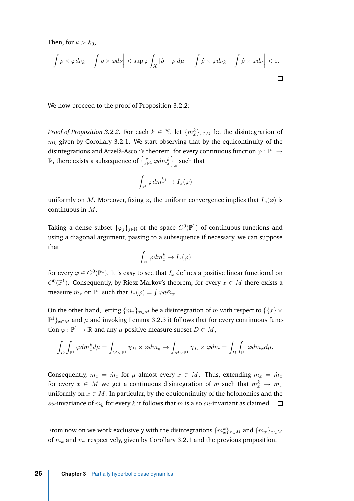Then, for  $k > k_0$ ,

$$
\left| \int \rho \times \varphi d\nu_k - \int \rho \times \varphi d\nu \right| < \sup \varphi \int_X |\hat{\rho} - \rho| d\mu + \left| \int \hat{\rho} \times \varphi d\nu_k - \int \hat{\rho} \times \varphi d\nu \right| < \varepsilon.
$$

We now proceed to the proof of Proposition [3.2.2:](#page-36-1)

*Proof of Proposition* [3.2.2.](#page-36-1) For each  $k \in \mathbb{N}$ , let  $\{m_x^k\}_{x \in M}$  be the disintegration of  $m_k$  given by Corollary [3.2.1.](#page-36-2) We start observing that by the equicontinuity of the disintegrations and Arzelà-Ascoli's theorem, for every continuous function  $\varphi:\mathbb{P}^1\to$  $\mathbb R,$  there exists a subsequence of  $\left\{\int_{\mathbb P^1} \varphi dm_x^k\right\}$  $\frac{k}{k}$  such that

$$
\int_{\mathbb{P}^1} \varphi dm_x^{k_j} \to I_x(\varphi)
$$

uniformly on *M*. Moreover, fixing  $\varphi$ , the uniform convergence implies that  $I_x(\varphi)$  is continuous in *M*.

Taking a dense subset  $\{\varphi_j\}_{j\in\mathbb{N}}$  of the space  $C^0(\mathbb{P}^1)$  of continuous functions and using a diagonal argument, passing to a subsequence if necessary, we can suppose that

$$
\int_{\mathbb{P}^1} \varphi dm^k_x \to I_x(\varphi)
$$

for every  $\varphi \in C^0(\mathbb{P}^1).$  It is easy to see that  $I_x$  defines a positive linear functional on  $C^0(\mathbb{P}^1)$ . Consequently, by Riesz-Markov's theorem, for every  $x \in M$  there exists a measure  $\hat{m}_x$  on  $\mathbb{P}^1$  such that  $I_x(\varphi) = \int \varphi d\hat{m}_x$ .

On the other hand, letting  ${m_x}_{x \in M}$  be a disintegration of *m* with respect to  ${x} \times$  $\mathbb{P}^1\}_{x \in M}$  and  $\mu$  and invoking Lemma [3.2.3](#page-36-3) it follows that for every continuous function  $\varphi : \mathbb{P}^1 \to \mathbb{R}$  and any  $\mu$ -positive measure subset  $D \subset M$ ,

$$
\int_D \int_{\mathbb{P}^1} \varphi dm_x^k d\mu = \int_{M \times \mathbb{P}^1} \chi_D \times \varphi dm_k \to \int_{M \times \mathbb{P}^1} \chi_D \times \varphi dm = \int_D \int_{\mathbb{P}^1} \varphi dm_x d\mu.
$$

Consequently,  $m_x = \hat{m}_x$  for  $\mu$  almost every  $x \in M$ . Thus, extending  $m_x = \hat{m}_x$ for every  $x \in M$  we get a continuous disintegration of  $m$  such that  $m_x^k \rightarrow m_x$ uniformly on  $x \in M$ . In particular, by the equicontinuity of the holonomies and the *su*-invariance of  $m_k$  for every  $k$  it follows that  $m$  is also  $su$ -invariant as claimed.  $\square$ 

From now on we work exclusively with the disintegrations  $\{m_x^k\}_{x\in M}$  and  $\{m_x\}_{x\in M}$ of *m<sup>k</sup>* and *m*, respectively, given by Corollary [3.2.1](#page-36-2) and the previous proposition.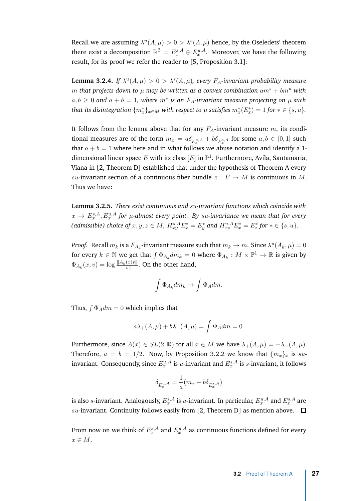<span id="page-38-1"></span>Recall we are assuming  $\lambda^u(A,\mu) > 0 > \lambda^s(A,\mu)$  hence, by the Oseledets' theorem there exist a decomposition  $\mathbb{R}^2 = E^{s,A}_x \oplus E^{u,A}_x$ . Moreover, we have the following result, for its proof we refer the reader to [\[5](#page-62-12), Proposition 3.1]:

**Lemma 3.2.4.** *If*  $\lambda^u(A, \mu) > 0 > \lambda^s(A, \mu)$ , every  $F_A$ -invariant probability measure *m* that projects down to  $\mu$  may be written as a convex combination  $am^s + bm^u$  with  $a, b \geq 0$  and  $a + b = 1$ , where  $m^*$  is an  $F_A$ -invariant measure projecting on  $\mu$  such *that its disintegration*  $\{m_x^*\}_{x \in M}$  *with respect to*  $\mu$  *satisfies*  $m_x^*(E_x^*) = 1$  *for*  $*\in \{s,u\}$ *.* 

It follows from the lemma above that for any  $F_A$ -invariant measure  $m$ , its conditional measures are of the form  $m_x = a\delta_{E_x^{u,A}} + b\delta_{E_x^{s,A}}$  for some  $a,b \in [0,1]$  such that  $a + b = 1$  where here and in what follows we abuse notation and identify a 1dimensional linear space  $E$  with its class  $[E]$  in  $\mathbb{P}^1$ . Furthermore, Avila, Santamaria, Viana in [\[2,](#page-62-5) Theorem D] established that under the hypothesis of Theorem [A](#page-13-0) every *su*-invariant section of a continuous fiber bundle  $\pi$  :  $E \to M$  is continuous in M. Thus we have:

<span id="page-38-0"></span>**Lemma 3.2.5.** *There exist continuous and su-invariant functions which coincide with*  $x \rightarrow E^{s,A}_x, E^{u,A}_x$  for  $\mu$ -almost every point. By su-invariance we mean that for every (admissible) choice of  $x, y, z \in M$ ,  $H_{xy}^{s, A}E_x^* = E_y^*$  and  $H_{xz}^{u, A}E_x^* = E_z^*$  for  $* \in \{s, u\}$ .

*Proof.* Recall  $m_k$  is a  $F_{A_k}$ -invariant measure such that  $m_k \to m$ . Since  $\lambda^u(A_k, \mu) = 0$ for every  $k \in \mathbb{N}$  we get that  $\int \Phi_{A_k} dm_k = 0$  where  $\Phi_{A_k}: M \times \mathbb{P}^1 \to \mathbb{R}$  is given by  $\Phi_{A_k}(x, v) = \log \frac{\|A_k(x)v\|}{\|v\|}$ . On the other hand,

$$
\int \Phi_{A_k} dm_k \to \int \Phi_A dm.
$$

Thus,  $\int \Phi_A dm = 0$  which implies that

$$
a\lambda_{+}(A,\mu)+b\lambda_{-}(A,\mu)=\int \Phi_{A}dm=0.
$$

Furthermore, since  $A(x) \in SL(2, \mathbb{R})$  for all  $x \in M$  we have  $\lambda_{+}(A, \mu) = -\lambda_{-}(A, \mu)$ . Therefore,  $a = b = 1/2$ . Now, by Proposition [3.2.2](#page-36-1) we know that  $\{m_x\}_x$  is suinvariant. Consequently, since  $E_x^{u,A}$  is *u*-invariant and  $E_x^{s,A}$  is *s*-invariant, it follows

$$
\delta_{E_x^{u,A}}=\frac{1}{a}(m_x-b\delta_{E_x^{s,A}})
$$

is also  $s$ -invariant. Analogously,  $E^{s,A}_x$  is  $u$ -invariant. In particular,  $E^{u,A}_x$  and  $E^{s,A}_x$  are  $su$ -invariant. Continuity follows easily from [\[2,](#page-62-5) Theorem D] as mention above.  $\Box$ 

From now on we think of  $E_x^{s,A}$  and  $E_x^{u,A}$  as continuous functions defined for every *x* ∈ *M*.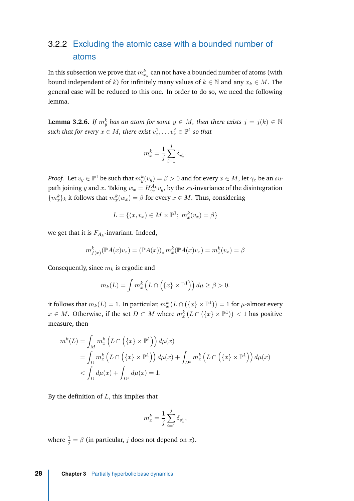### <span id="page-39-0"></span>3.2.2 Excluding the atomic case with a bounded number of atoms

In this subsection we prove that  $m_{x_k}^k$  can not have a bounded number of atoms (with bound independent of *k*) for infinitely many values of  $k \in \mathbb{N}$  and any  $x_k \in M$ . The general case will be reduced to this one. In order to do so, we need the following lemma.

**Lemma 3.2.6.** *If*  $m_y^k$  *has an atom for some*  $y \in M$ *, then there exists*  $j = j(k) \in \mathbb{N}$  $\textit{such that for every } x \in M, \textit{there exist } v_x^1, \dots v_x^j \in \mathbb{P}^1 \textit{ so that }$ 

$$
m_x^k = \frac{1}{j} \sum_{i=1}^j \delta_{v_x^i}.
$$

*Proof.* Let  $v_y \in \mathbb{P}^1$  be such that  $m^k_y(v_y) = \beta > 0$  and for every  $x \in M$ , let  $\gamma_x$  be an  $su$ path joining *y* and *x*. Taking  $w_x = H_{\gamma_x}^{A_k} v_y$ , by the *su*-invariance of the disintegration  ${m_x^k}_{k}$  it follows that  $m_x^k(w_x) = \beta$  for every  $x \in M$ . Thus, considering

$$
L = \{(x, v_x) \in M \times \mathbb{P}^1; m_x^k(v_x) = \beta\}
$$

we get that it is  $F_{A_k}$ -invariant. Indeed,

$$
m_{f(x)}^k(\mathbb{P}A(x)v_x) = (\mathbb{P}A(x))_* m_x^k(\mathbb{P}A(x)v_x) = m_x^k(v_x) = \beta
$$

Consequently, since *m<sup>k</sup>* is ergodic and

$$
m_k(L) = \int m_x^k \left( L \cap \left( \{x\} \times \mathbb{P}^1 \right) \right) d\mu \ge \beta > 0.
$$

it follows that  $m_k(L) = 1$ . In particular,  $m_x^k(L \cap (\{x\} \times \mathbb{P}^1)) = 1$  for  $\mu$ -almost every *x* ∈ *M*. Otherwise, if the set *D* ⊂ *M* where  $m_x^k(L \cap (\{x\} \times \mathbb{P}^1))$  < 1 has positive measure, then

$$
m^{k}(L) = \int_{M} m_{x}^{k} \left( L \cap \left( \{x\} \times \mathbb{P}^{1} \right) \right) d\mu(x)
$$
  
= 
$$
\int_{D} m_{x}^{k} \left( L \cap \left( \{x\} \times \mathbb{P}^{1} \right) \right) d\mu(x) + \int_{D^{c}} m_{x}^{k} \left( L \cap \left( \{x\} \times \mathbb{P}^{1} \right) \right) d\mu(x)
$$
  
< 
$$
< \int_{D} d\mu(x) + \int_{D^{c}} d\mu(x) = 1.
$$

By the definition of *L*, this implies that

$$
m^k_x = \frac{1}{j}\sum_{i=1}^j \delta_{v^i_x},
$$

where  $\frac{1}{j} = \beta$  (in particular, *j* does not depend on *x*).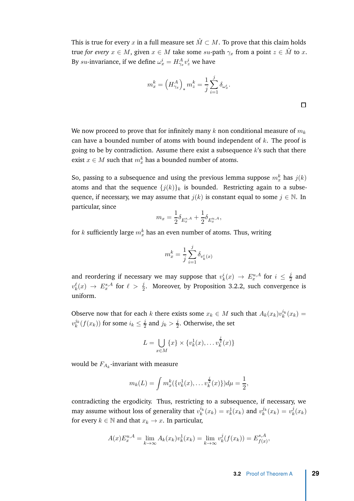This is true for every *x* in a full measure set  $\hat{M} \subset M$ . To prove that this claim holds true *for every*  $x \in M$ , given  $x \in M$  take some  $su$ -path  $\gamma_x$  from a point  $z \in \hat{M}$  to  $x$ . By *su*-invariance, if we define  $\omega_x^i = H_{\gamma_x}^A v_z^i$  we have

$$
m_x^k = \left(H_{\gamma_x}^A\right)_* m_z^k = \frac{1}{j} \sum_{i=1}^j \delta_{\omega_x^i}.
$$

We now proceed to prove that for infinitely many *k* non conditional measure of *m<sup>k</sup>* can have a bounded number of atoms with bound independent of *k*. The proof is going to be by contradiction. Assume there exist a subsequence *k*'s such that there exist  $x \in M$  such that  $m_x^k$  has a bounded number of atoms.

So, passing to a subsequence and using the previous lemma suppose  $m_x^k$  has  $j(k)$ atoms and that the sequence  ${j(k)}_k$  is bounded. Restricting again to a subsequence, if necessary, we may assume that  $j(k)$  is constant equal to some  $j \in \mathbb{N}$ . In particular, since

$$
m_x = \frac{1}{2} \delta_{E_x^{s,A}} + \frac{1}{2} \delta_{E_x^{u,A}},
$$

for  $k$  sufficiently large  $m_x^k$  has an even number of atoms. Thus, writing

$$
m_x^k = \frac{1}{j} \sum_{i=1}^j \delta_{v_k^i(x)}
$$

and reordering if necessary we may suppose that  $v_k^i(x) \to E_x^{u,A}$  for  $i \leq \frac{j}{2}$  $\frac{1}{2}$  and  $v_k^{\ell}(x) \rightarrow E_x^{s,A}$  for  $\ell > \frac{j}{2}$ . Moreover, by Proposition [3.2.2,](#page-36-1) such convergence is uniform.

Observe now that for each *k* there exists some  $x_k \in M$  such that  $A_k(x_k)v_k^{i_k}(x_k) =$  $v_k^{j_k}(f(x_k))$  for some  $i_k \leq \frac{j}{2}$  $\frac{j}{2}$  and  $j_k > \frac{j}{2}$  $\frac{1}{2}$ . Otherwise, the set

$$
L = \bigcup_{x \in M} \{x\} \times \{v_k^1(x), \dots v_k^{\frac{j}{2}}(x)\}
$$

would be  $F_{A_k}$ -invariant with measure

$$
m_k(L) = \int m_x^k(\{v_k^1(x), \dots v_k^{\frac{j}{2}}(x)\}) d\mu = \frac{1}{2},
$$

contradicting the ergodicity. Thus, restricting to a subsequence, if necessary, we may assume without loss of generality that  $v_k^{i_k}(x_k) = v_k^1(x_k)$  and  $v_k^{j_k}(x_k) = v_k^j$  $\frac{J}{k}(x_k)$ for every  $k \in \mathbb{N}$  and that  $x_k \to x$ . In particular,

$$
A(x)E_x^{u,A} = \lim_{k \to \infty} A_k(x_k)v_k^1(x_k) = \lim_{k \to \infty} v_k^j(f(x_k)) = E_{f(x)}^{s,A},
$$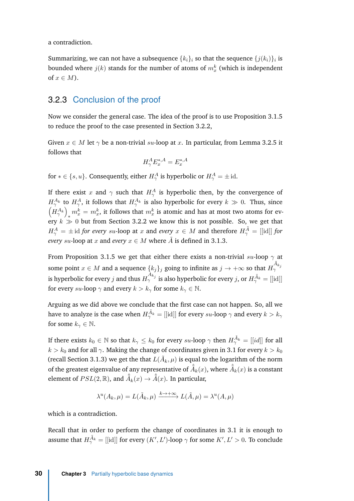a contradiction.

Summarizing, we can not have a subsequence  $\{k_i\}_i$  so that the sequence  $\{j(k_i)\}_i$  is bounded where  $j(k)$  stands for the number of atoms of  $m_x^k$  (which is independent of  $x \in M$ ).

#### <span id="page-41-0"></span>3.2.3 Conclusion of the proof

Now we consider the general case. The idea of the proof is to use Proposition [3.1.5](#page-35-1) to reduce the proof to the case presented in Section [3.2.2,](#page-39-0)

Given  $x \in M$  let  $\gamma$  be a non-trivial *su*-loop at *x*. In particular, from Lemma [3.2.5](#page-38-0) it follows that

$$
H^A_\gamma E^{*,A}_x = E^{*,A}_x
$$

for  $*\in \{s,u\}$ . Consequently, either  $H^A_\gamma$  is hyperbolic or  $H^A_\gamma=\pm\operatorname{id}$ .

If there exist *x* and  $\gamma$  such that  $H^A_\gamma$  is hyperbolic then, by the convergence of  $H^{A_k}_\gamma$  to  $H^A_\gamma$ , it follows that  $H^{A_k}_\gamma$  is also hyperbolic for every  $k \gg 0$ . Thus, since  $\left(H^{A_k}_\gamma\right)_\downarrow m^k_x = m^k_x$ , it follows that  $m^k_x$  is atomic and has at most two atoms for every  $k \gg 0$  but from Section [3.2.2](#page-39-0) we know this is not possible. So, we get that  $H^A_\gamma = \pm \operatorname{id}$  *for every su*-loop at *x* and *every*  $x \in M$  and therefore  $H^{\tilde{A}}_\gamma = [[\operatorname{id}]]$  *for every su*-loop at *x* and *every*  $x \in M$  where  $\tilde{A}$  is defined in [3.1.3.](#page-31-0)

From Proposition [3.1.5](#page-35-1) we get that either there exists a non-trivial *su*-loop *γ* at some point  $x \in M$  and a sequence  $\{k_j\}_j$  going to infinite as  $j \to +\infty$  so that  $H_\gamma^{\tilde{A}_{k_j}}$ is hyperbolic for every *j* and thus  $H_\gamma^{A_{k_j}}$  is also hyperbolic for every *j*, or  $H_\gamma^{\tilde{A}_k} = [[\mathrm{id}]]$ for every *su*-loop  $\gamma$  and every  $k > k_{\gamma}$  for some  $k_{\gamma} \in \mathbb{N}$ .

Arguing as we did above we conclude that the first case can not happen. So, all we have to analyze is the case when  $H^{\tilde{A}_k}_{\gamma} = [[\mathrm{id}]]$  for every  $su\text{-loop}\:\gamma$  and every  $k>k_{\gamma}$ for some  $k_{\gamma} \in \mathbb{N}$ .

If there exists  $k_0 \in \mathbb{N}$  so that  $k_\gamma \leq k_0$  for every  $su\text{-loop }\gamma$  then  $H^{\tilde{A}_k}_\gamma = [[id]]$  for all  $k > k_0$  and for all  $\gamma$ . Making the change of coordinates given in [3.1](#page-30-0) for every  $k > k_0$ (recall Section [3.1.3\)](#page-31-0) we get the that  $L(\tilde{A}_k, \mu)$  is equal to the logarithm of the norm of the greatest eigenvalue of any representative of  $\hat{\tilde{A}}_k(x)$ , where  $\hat{\tilde{A}}_k(x)$  is a constant element of  $PSL(2,\mathbb{R}),$  and  $\hat{\tilde{A}}_k(x)\rightarrow\hat{\tilde{A}}(x).$  In particular,

$$
\lambda^{u}(A_{k}, \mu) = L(\tilde{A}_{k}, \mu) \xrightarrow{k \to +\infty} L(\tilde{A}, \mu) = \lambda^{u}(A, \mu)
$$

which is a contradiction.

Recall that in order to perform the change of coordinates in [3.1](#page-30-0) it is enough to assume that  $H_{\gamma}^{\tilde{A}_k} = [[\text{id}]]$  for every  $(K', L')$ -loop  $\gamma$  for some  $K', L' > 0$ . To conclude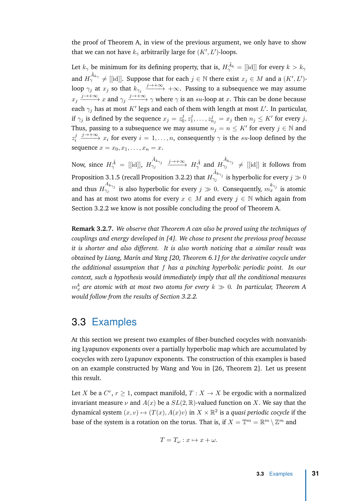<span id="page-42-1"></span>the proof of Theorem [A,](#page-13-0) in view of the previous argument, we only have to show that we can not have  $k_{\gamma}$  arbitrarily large for  $(K',L')$ -loops.

Let  $k_{\gamma}$  be minimum for its defining property, that is,  $H^{\tilde{A}_k}_{\gamma} = [[\mathrm{id}]]$  for every  $k>k_{\gamma}$ and  $H^{\tilde{A}_{k\gamma}}_{\gamma}\neq[[\mathrm{id}]]$ . Suppose that for each  $j\in\mathbb{N}$  there exist  $x_j\in M$  and a  $(K',L')$ loop  $\gamma_j$  at  $x_j$  so that  $k_{\gamma_j}\xrightarrow{j\to+\infty}+\infty.$  Passing to a subsequence we may assume  $x_j \xrightarrow{j \to +\infty} x$  and  $\gamma_j \xrightarrow{j \to +\infty} \gamma$  where  $\gamma$  is an *su*-loop at *x*. This can be done because each  $\gamma_j$  has at most  $K'$  legs and each of them with length at most  $L'$ . In particular, if  $\gamma_j$  is defined by the sequence  $x_j = z_0^j$  $\frac{j}{0}, z_1^j$  $x_1^j, \ldots, z_{n_j}^j = x_j$  then  $n_j \leq K'$  for every *j*. Thus, passing to a subsequence we may assume  $n_j = n \leq K'$  for every  $j \in \mathbb{N}$  and *z j*  $\frac{j}{i} \xrightarrow{j \to +\infty} x_i$  for every  $i = 1, \ldots, n$ , consequently  $\gamma$  is the *su*-loop defined by the sequence  $x = x_0, x_1, \ldots, x_n = x$ .

Now, since  $H^{\tilde{A}}_{\gamma} = [[\mathrm{id}]], H$  $\frac{\tilde{A}_{k\gamma_j}}{\gamma_j} \xrightarrow{j \to +\infty} H_{\gamma}^{\tilde{A}}$  and *H*  $\begin{array}{rcl} \tilde{A}_{k\gamma_{j}} & \neq & \left[ \left[ \textrm{id}\right] \right] \textrm{ it follows from} \end{array}$ Proposition [3.1.5](#page-35-1) (recall Proposition [3.2.2\)](#page-36-1) that *H*  $\frac{\tilde{A}_{k\gamma_j}}{\gamma_j}$  is hyperbolic for every  $j\gg 0$ and thus  $H_{\gamma_j}^{A_{k_{\gamma_j}}}$  is also hyperbolic for every  $j\gg 0$ . Consequently,  $m_x^{k_{\gamma_j}}}$  is atomic and has at most two atoms for every  $x \in M$  and every  $j \in \mathbb{N}$  which again from Section [3.2.2](#page-39-0) we know is not possible concluding the proof of Theorem [A.](#page-13-0)

**Remark 3.2.7.** *We observe that Theorem [A](#page-13-0) can also be proved using the techniques of couplings and energy developed in [\[4](#page-62-4)]. We chose to present the previous proof because it is shorter and also different. It is also worth noticing that a similar result was obtained by Liang, Marín and Yang [\[20](#page-63-12), Theorem 6.1] for the derivative cocycle under the additional assumption that f has a pinching hyperbolic periodic point. In our context, such a hypothesis would immediately imply that all the conditional measures*  $m_x^k$  are atomic with at most two atoms for every  $k\,\gg\,0$ . In particular, Theorem [A](#page-13-0) *would follow from the results of Section [3.2.2.](#page-39-0)*

#### <span id="page-42-0"></span>3.3 Examples

At this section we present two examples of fiber-bunched cocycles with nonvanishing Lyapunov exponents over a partially hyperbolic map which are accumulated by cocycles with zero Lyapunov exponents. The construction of this examples is based on an example constructed by Wang and You in [\[26](#page-63-3), Theorem 2]. Let us present this result.

Let *X* be a  $C^r$ ,  $r \geq 1$ , compact manifold,  $T : X \to X$  be ergodic with a normalized invariant measure  $\nu$  and  $A(x)$  be a  $SL(2,\mathbb{R})$ -valued function on X. We say that the dynamical system  $(x, v) \mapsto (T(x), A(x)v)$  in  $X \times \mathbb{R}^2$  is a *quasi periodic cocycle* if the base of the system is a rotation on the torus. That is, if  $X = \mathbb{T}^m = \mathbb{R}^m \setminus \mathbb{Z}^m$  and

$$
T = T_{\omega} : x \mapsto x + \omega.
$$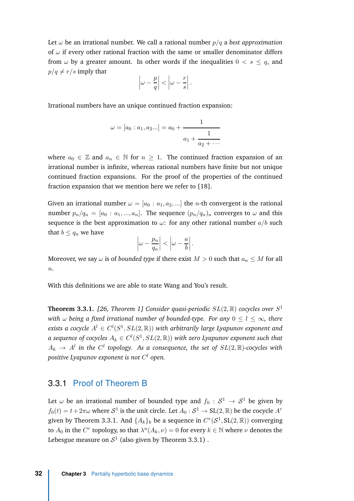<span id="page-43-2"></span>Let  $\omega$  be an irrational number. We call a rational number  $p/q$  a *best approximation* of *ω* if every other rational fraction with the same or smaller denominator differs from  $\omega$  by a greater amount. In other words if the inequalities  $0 < s \leq q$ , and  $p/q \neq r/s$  imply that

$$
\left|\omega - \frac{p}{q}\right| < \left|\omega - \frac{r}{s}\right|.
$$

Irrational numbers have an unique continued fraction expansion:

$$
\omega = [a_0 : a_1, a_2...] = a_0 + \cfrac{1}{a_1 + \cfrac{1}{a_2 + \cdots}}
$$

where  $a_0 \in \mathbb{Z}$  and  $a_n \in \mathbb{N}$  for  $n \geq 1$ . The continued fraction expansion of an irrational number is infinite, whereas rational numbers have finite but not unique continued fraction expansions. For the proof of the properties of the continued fraction expansion that we mention here we refer to [\[18\]](#page-63-13).

Given an irrational number  $\omega = [a_0 : a_1, a_2, \ldots]$  the *n*-th convergent is the rational number  $p_n/q_n = [a_0 : a_1, ..., a_n]$ . The sequence  $(p_n/q_n)_n$  converges to  $\omega$  and this sequence is the best approximation to  $\omega$ : for any other rational number  $a/b$  such that  $b \leq q_n$  we have

$$
\left|\omega - \frac{p_n}{q_n}\right| < \left|\omega - \frac{a}{b}\right|.
$$

Moreover, we say  $\omega$  is of *bounded type* if there exist  $M > 0$  such that  $a_n \leq M$  for all *n*.

With this definitions we are able to state Wang and You's result.

<span id="page-43-1"></span>**Theorem 3.3.1.** *[\[26](#page-63-3), Theorem 1] Consider quasi-periodic SL*(2*,* R) *cocycles over S* 1 *with*  $\omega$  *being a fixed irrational number of bounded-type. For any*  $0 \le l \le \infty$ , there exists a cocycle  $A^l \in C^l(S^1,SL(2,\mathbb R))$  with arbitrarily large Lyapunov exponent and  $a$  sequence of cocycles  $A_k \in C^l(S^1,SL(2,\mathbb R))$  with zero Lyapunov exponent such that  $A_k$   $\rightarrow$   $A^l$  in the  $C^l$  topology. As a consequence, the set of  $SL(2,\mathbb{R})$ -cocycles with *positive Lyapunov exponent is not C <sup>l</sup> open.*

#### <span id="page-43-0"></span>3.3.1 Proof of Theorem [B](#page-13-1)

Let  $\omega$  be an irrational number of bounded type and  $f_0\,:\,\mathcal{S}^1\,\rightarrow\,\mathcal{S}^1$  be given by  $f_0(t) = t + 2\pi\omega$  where  $S^1$  is the unit circle. Let  $A_0: S^1 \to SL(2, \mathbb{R})$  be the cocycle  $A^r$ given by Theorem [3.3.1.](#page-43-1) And  $\{A_k\}_k$  be a sequence in  $C^r(\mathcal{S}^1, SL(2,\mathbb{R}))$  converging to  $A_0$  in the  $C^r$  topology, so that  $\lambda^u(A_k, \nu) = 0$  for every  $k \in \mathbb{N}$  where  $\nu$  denotes the Lebesgue measure on  $\mathcal{S}^1$  (also given by Theorem [3.3.1\)](#page-43-1) .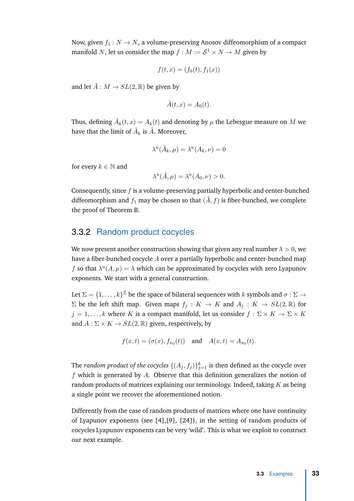<span id="page-44-1"></span>Now, given  $f_1: N \to N$ , a volume-preserving Anosov diffeomorphism of a compact manifold  $N$ , let us consider the map  $f : M := \mathcal{S}^1 \times N \to M$  given by

$$
f(t, x) = (f_0(t), f_1(x))
$$

and let  $\hat{A}: M \to SL(2, \mathbb{R})$  be given by

$$
\hat{A}(t,x) = A_0(t).
$$

Thus, defining  $\hat{A}_k(t,x) = A_k(t)$  and denoting by  $\mu$  the Lebesgue measure on  $M$  we have that the limit of  $\hat{A}_k$  is  $\hat{A}$ . Moreover,

$$
\lambda^u(\hat{A}_k,\mu) = \lambda^u(A_k,\nu) = 0
$$

for every  $k \in \mathbb{N}$  and

$$
\lambda^u(\hat{A}, \mu) = \lambda^u(A_0, \nu) > 0.
$$

Consequently, since *f* is a volume-preserving partially hyperbolic and center-bunched diffeomorphism and  $f_1$  may be chosen so that  $(\hat{A}, f)$  is fiber-bunched, we complete the proof of Theorem [B.](#page-13-1)

#### <span id="page-44-0"></span>3.3.2 Random product cocycles

We now present another construction showing that given any real number  $\lambda > 0$ , we have a fiber-bunched cocycle *A* over a partially hyperbolic and center-bunched map *f* so that  $\lambda^u(A,\mu) = \lambda$  which can be approximated by cocycles with zero Lyapunov exponents. We start with a general construction.

Let  $\Sigma = \{1, \ldots, k\}^{\mathbb{Z}}$  be the space of bilateral sequences with  $k$  symbols and  $\sigma : \Sigma \to$  $Σ$  be the left shift map. Given maps  $f$ <sup>*j*</sup> :  $K → K$  and  $A$ <sup>*j*</sup> :  $K → SL(2, ℝ)$  for  $j = 1, \ldots, k$  where *K* is a compact manifold, let us consider  $f : \Sigma \times K \to \Sigma \times K$ and  $A: \Sigma \times K \rightarrow SL(2, \mathbb{R})$  given, respectively, by

$$
f(x,t) = (\sigma(x), f_{x_0}(t))
$$
 and  $A(x,t) = A_{x_0}(t)$ .

The *random product of the cocycles*  $\{(A_j,f_j)\}_{j=1}^k$  is then defined as the cocycle over *f* which is generated by *A*. Observe that this definition generalizes the notion of random products of matrices explaining our terminology. Indeed, taking *K* as being a single point we recover the aforementioned notion.

Differently from the case of random products of matrices where one have continuity of Lyapunov exponents (see [\[4\]](#page-62-4),[\[9\]](#page-62-3), [\[24\]](#page-63-7)), in the setting of random products of cocycles Lyapunov exponents can be very 'wild'. This is what we exploit to construct our next example.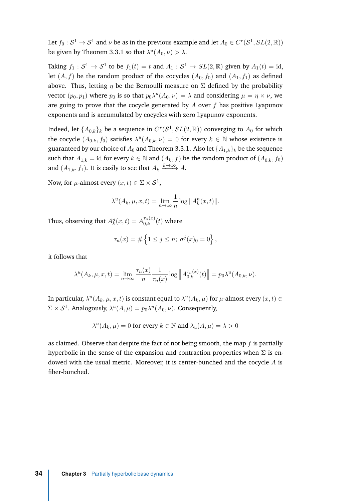Let  $f_0: S^1 \to S^1$  and  $\nu$  be as in the previous example and let  $A_0 \in C^r(S^1,SL(2,\mathbb{R}))$ be given by Theorem [3.3.1](#page-43-1) so that  $\lambda^u(A_0, \nu) > \lambda$ .

Taking  $f_1: S^1 \to S^1$  to be  $f_1(t) = t$  and  $A_1: S^1 \to SL(2, \mathbb{R})$  given by  $A_1(t) = id$ , let  $(A, f)$  be the random product of the cocycles  $(A_0, f_0)$  and  $(A_1, f_1)$  as defined above. Thus, letting  $\eta$  be the Bernoulli measure on  $\Sigma$  defined by the probability vector  $(p_0, p_1)$  where  $p_0$  is so that  $p_0 \lambda^u(A_0, \nu) = \lambda$  and considering  $\mu = \eta \times \nu$ , we are going to prove that the cocycle generated by *A* over *f* has positive Lyapunov exponents and is accumulated by cocycles with zero Lyapunov exponents.

Indeed, let  $\{A_{0,k}\}_k$  be a sequence in  $C^r(\mathcal{S}^1,SL(2,\mathbb{R}))$  converging to  $A_0$  for which the cocycle  $(A_{0,k}, f_0)$  satisfies  $\lambda^u(A_{0,k}, \nu) = 0$  for every  $k \in \mathbb{N}$  whose existence is guaranteed by our choice of  $A_0$  and Theorem [3.3.1.](#page-43-1) Also let  $\{A_{1,k}\}_k$  be the sequence such that  $A_{1,k} = id$  for every  $k \in \mathbb{N}$  and  $(A_k, f)$  be the random product of  $(A_{0,k}, f_0)$ and  $(A_{1,k}, f_1)$ . It is easily to see that  $A_k \xrightarrow{k \to \infty} A$ .

Now, for  $\mu$ -almost every  $(x,t) \in \Sigma \times S^1$ ,

$$
\lambda^{u}(A_{k}, \mu, x, t) = \lim_{n \to \infty} \frac{1}{n} \log ||A_{k}^{n}(x, t)||.
$$

Thus, observing that  $A_k^n(x,t) = A_{0,k}^{\tau_n(x)}(t)$  where

$$
\tau_n(x) = \# \left\{ 1 \le j \le n; \ \sigma^j(x)_0 = 0 \right\},\,
$$

it follows that

$$
\lambda^u(A_k, \mu, x, t) = \lim_{n \to \infty} \frac{\tau_n(x)}{n} \frac{1}{\tau_n(x)} \log \left\| A_{0,k}^{\tau_n(x)}(t) \right\| = p_0 \lambda^u(A_{0,k}, \nu).
$$

In particular,  $\lambda^u(A_k, \mu, x, t)$  is constant equal to  $\lambda^u(A_k, \mu)$  for  $\mu$ -almost every  $(x, t) \in$  $\Sigma \times S^1$ . Analogously,  $\lambda^u(A,\mu) = p_0 \lambda^u(A_0,\nu)$ . Consequently,

$$
\lambda^{u}(A_{k}, \mu) = 0
$$
 for every  $k \in \mathbb{N}$  and  $\lambda_{u}(A, \mu) = \lambda > 0$ 

as claimed. Observe that despite the fact of not being smooth, the map *f* is partially hyperbolic in the sense of the expansion and contraction properties when  $\Sigma$  is endowed with the usual metric. Moreover, it is center-bunched and the cocycle *A* is fiber-bunched.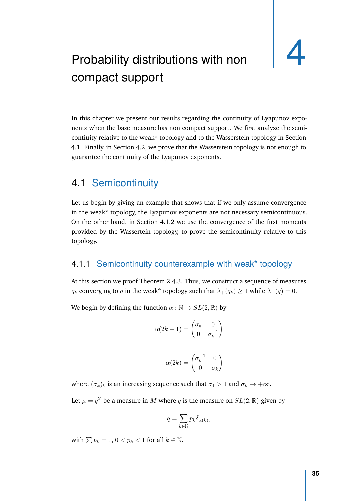# <span id="page-46-3"></span><span id="page-46-0"></span>Probability distributions with non compact support

In this chapter we present our results regarding the continuity of Lyapunov exponents when the base measure has non compact support. We first analyze the semicontiuity relative to the weak\* topology and to the Wasserstein topology in Section [4.1.](#page-46-1) Finally, in Section [4.2,](#page-52-0) we prove that the Wasserstein topology is not enough to guarantee the continuity of the Lyapunov exponents.

#### <span id="page-46-1"></span>4.1 Semicontinuity

Let us begin by giving an example that shows that if we only assume convergence in the weak\* topology, the Lyapunov exponents are not necessary semicontinuous. On the other hand, in Section [4.1.2](#page-47-0) we use the convergence of the first moments provided by the Wassertein topology, to prove the semicontinuity relative to this topology.

#### <span id="page-46-2"></span>4.1.1 Semicontinuity counterexample with weak\* topology

At this section we proof Theorem [2.4.3.](#page-21-1) Thus, we construct a sequence of measures *q*<sup>*k*</sup> converging to *q* in the weak\* topology such that  $\lambda_+(q_k) \geq 1$  while  $\lambda_+(q) = 0$ .

We begin by defining the function  $\alpha : \mathbb{N} \to SL(2, \mathbb{R})$  by

$$
\alpha(2k-1) = \begin{pmatrix} \sigma_k & 0\\ 0 & \sigma_k^{-1} \end{pmatrix}
$$

$$
\alpha(2k) = \begin{pmatrix} \sigma_k^{-1} & 0\\ 0 & \sigma_k \end{pmatrix}
$$

where  $(\sigma_k)_k$  is an increasing sequence such that  $\sigma_1 > 1$  and  $\sigma_k \to +\infty$ .

Let  $\mu = q^{\mathbb{Z}}$  be a measure in  $M$  where  $q$  is the measure on  $SL(2,\mathbb{R})$  given by

$$
q = \sum_{k \in \mathbb{N}} p_k \delta_{\alpha(k)},
$$

with  $\sum p_k = 1$ ,  $0 < p_k < 1$  for all  $k \in \mathbb{N}$ .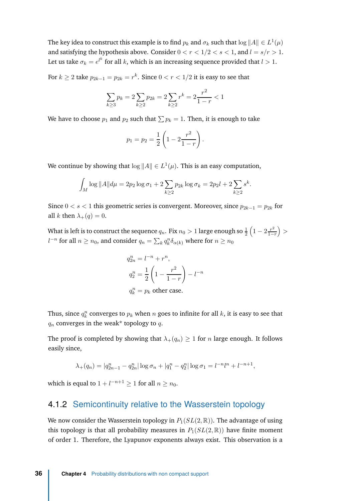The key idea to construct this example is to find  $p_k$  and  $\sigma_k$  such that  $\log \|A\| \in L^1(\mu)$ and satisfying the hypothesis above. Consider  $0 < r < 1/2 < s < 1$ , and  $l = s/r > 1$ . Let us take  $\sigma_k = e^{l^k}$  for all  $k$ , which is an increasing sequence provided that  $l > 1.$ 

For  $k \geq 2$  take  $p_{2k-1} = p_{2k} = r^k$ . Since  $0 < r < 1/2$  it is easy to see that

$$
\sum_{k\geq 3} p_k = 2 \sum_{k\geq 2} p_{2k} = 2 \sum_{k\geq 2} r^k = 2 \frac{r^2}{1-r} < 1
$$

We have to choose  $p_1$  and  $p_2$  such that  $\sum p_k = 1$ . Then, it is enough to take

$$
p_1 = p_2 = \frac{1}{2} \left( 1 - 2 \frac{r^2}{1 - r} \right).
$$

We continue by showing that  $\log \|A\| \in L^1(\mu)$ . This is an easy computation,

$$
\int_M \log ||A|| d\mu = 2p_2 \log \sigma_1 + 2 \sum_{k \ge 2} p_{2k} \log \sigma_k = 2p_2 l + 2 \sum_{k \ge 2} s^k.
$$

Since  $0 < s < 1$  this geometric series is convergent. Moreover, since  $p_{2k-1} = p_{2k}$  for all *k* then  $\lambda_+(q) = 0$ .

What is left is to construct the sequence  $q_n.$  Fix  $n_0 > 1$  large enough so  $\frac{1}{2} \left( 1 - 2 \frac{r^2}{1 - 1}\right)$ 1−*r > l*<sup>*−n*</sup> for all *n* ≥ *n*<sub>0</sub>, and consider *q<sub>n</sub>* =  $\sum_{k} q_{k}^{n} \delta_{\alpha(k)}$  where for *n* ≥ *n*<sub>0</sub>

$$
q_{2n}^{n} = l^{-n} + r^{n},
$$
  
\n
$$
q_{2}^{n} = \frac{1}{2} \left( 1 - \frac{r^{2}}{1 - r} \right) - l^{-n}
$$
  
\n
$$
q_{k}^{n} = p_{k} \text{ other case.}
$$

Thus, since  $q_k^n$  converges to  $p_k$  when  $n$  goes to infinite for all  $k$ , it is easy to see that  $q_n$  converges in the weak\* topology to  $q$ .

The proof is completed by showing that  $\lambda_+(q_n) \geq 1$  for *n* large enough. It follows easily since,

$$
\lambda_+(q_n) = |q_{2n-1}^n - q_{2n}^n| \log \sigma_n + |q_1^n - q_2^n| \log \sigma_1 = l^{-n}l^n + l^{-n+1},
$$

which is equal to  $1 + l^{-n+1} \geq 1$  for all  $n \geq n_0$ .

#### <span id="page-47-0"></span>4.1.2 Semicontinuity relative to the Wasserstein topology

We now consider the Wasserstein topology in  $P_1(SL(2,\mathbb{R}))$ . The advantage of using this topology is that all probability measures in  $P_1(SL(2,\mathbb{R}))$  have finite moment of order 1. Therefore, the Lyapunov exponents always exist. This observation is a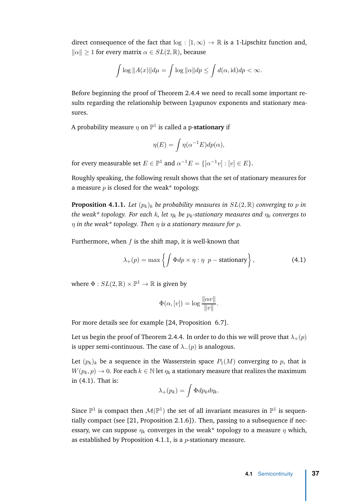<span id="page-48-2"></span>direct consequence of the fact that  $log : [1, \infty) \to \mathbb{R}$  is a 1-Lipschitz function and,  $\|\alpha\| > 1$  for every matrix  $\alpha \in SL(2, \mathbb{R})$ , because

$$
\int \log ||A(x)|| d\mu = \int \log ||\alpha|| d p \le \int d(\alpha, \text{id}) d p < \infty.
$$

Before beginning the proof of Theorem [2.4.4](#page-21-2) we need to recall some important results regarding the relationship between Lyapunov exponents and stationary measures.

A probability measure *η* on P 1 is called a p-**stationary** if

$$
\eta(E) = \int \eta(\alpha^{-1}E) dp(\alpha),
$$

for every measurable set  $E \in \mathbb{P}^1$  and  $\alpha^{-1}E = \{[\alpha^{-1}v] : [v] \in E\}.$ 

Roughly speaking, the following result shows that the set of stationary measures for a measure  $p$  is closed for the weak\* topology.

<span id="page-48-1"></span>**Proposition 4.1.1.** *Let*  $(p_k)_k$  *be probability measures in*  $SL(2,\mathbb{R})$  *converging to p in the weak\* topology. For each k, let η<sup>k</sup> be pk-stationary measures and η<sup>k</sup> converges to η in the weak\* topology. Then η is a stationary measure for p.*

Furthermore, when *f* is the shift map, it is well-known that

$$
\lambda_{+}(p) = \max\left\{ \int \Phi dp \times \eta : \eta \quad p - \text{stationary} \right\},\tag{4.1}
$$

where  $\Phi:SL(2,\mathbb{R})\times \mathbb{P}^1\to \mathbb{R}$  is given by

<span id="page-48-0"></span>
$$
\Phi(\alpha, [v]) = \log \frac{\|\alpha v\|}{\|v\|}.
$$

For more details see for example [\[24](#page-63-7), Proposition 6.7].

Let us begin the proof of Theorem [2.4.4.](#page-21-2) In order to do this we will prove that  $\lambda_+(p)$ is upper semi-continuous. The case of  $\lambda_-(p)$  is analogous.

Let  $(p_k)_k$  be a sequence in the Wasserstein space  $P_1(M)$  converging to p, that is  $W(p_k, p) \to 0$ . For each  $k \in \mathbb{N}$  let  $\eta_k$  a stationary measure that realizes the maximum in [\(4.1\)](#page-48-0). That is:

$$
\lambda_+(p_k)=\int \Phi dp_k d\eta_k.
$$

Since  $\mathbb{P}^1$  is compact then  $\mathcal{M}(\mathbb{P}^1)$  the set of all invariant measures in  $\mathbb{P}^1$  is sequentially compact (see [\[21,](#page-63-4) Proposition 2.1.6]). Then, passing to a subsequence if necessary, we can suppose  $\eta_k$  converges in the weak<sup>\*</sup> topology to a measure  $\eta$  which, as established by Proposition [4.1.1,](#page-48-1) is a *p*-stationary measure.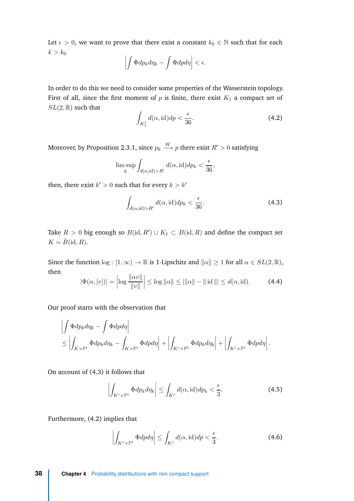Let  $\epsilon > 0$ , we want to prove that there exist a constant  $k_0 \in \mathbb{N}$  such that for each  $k > k_0$ 

$$
\left|\int \Phi dp_k d\eta_k - \int \Phi dp d\eta\right| < \epsilon.
$$

In order to do this we need to consider some properties of the Wasserstein topology. First of all, since the first moment of  $p$  is finite, there exist  $K_1$  a compact set of  $SL(2,\mathbb{R})$  such that

<span id="page-49-1"></span>
$$
\int_{K_1^c} d(\alpha, \mathrm{id}) dp < \frac{\epsilon}{36}.\tag{4.2}
$$

Moreover, by Proposition [2.3.1,](#page-19-1) since  $p_k\stackrel{W}{\longrightarrow}p$  there exist  $R'>0$  satisfying

$$
\limsup_{k} \int_{d(\alpha, \mathrm{id}) > R'} d(\alpha, \mathrm{id}) dp_k < \frac{\epsilon}{36},
$$

then, there exist  $k' > 0$  such that for every  $k > k'$ 

<span id="page-49-0"></span>
$$
\int_{d(\alpha, \text{id}) > R'} d(\alpha, \text{id}) dp_k < \frac{\epsilon}{36}.
$$
\n(4.3)

Take  $R > 0$  big enough so  $B(\text{id}, R') \cup K_1 \subset B(\text{id}, R)$  and define the compact set  $K = \overline{B}(\text{id}, R)$ .

Since the function  $\log : [1, \infty) \to \mathbb{R}$  is 1-Lipschitz and  $\|\alpha\| \geq 1$  for all  $\alpha \in SL(2, \mathbb{R})$ , then

$$
|\Phi(\alpha, [v])| = \left| \log \frac{\|\alpha v\|}{\|v\|} \right| \le \log \|\alpha\| \le |\alpha\| - \|\operatorname{id}\| \le d(\alpha, \operatorname{id}). \tag{4.4}
$$

Our proof starts with the observation that

$$
\left| \int \Phi dp_k d\eta_k - \int \Phi dp d\eta \right|
$$
  
\$\leq \left| \int\_{K \times \mathbb{P}^1} \Phi dp\_k d\eta\_k - \int\_{K \times \mathbb{P}^1} \Phi dp d\eta \right| + \left| \int\_{K^c \times \mathbb{P}^1} \Phi dp\_k d\eta\_k \right| + \left| \int\_{K^c \times \mathbb{P}^1} \Phi dp d\eta \right|.

On account of [\(4.3\)](#page-49-0) it follows that

<span id="page-49-2"></span>
$$
\left| \int_{K^c \times \mathbb{P}^1} \Phi dp_k d\eta_k \right| \le \int_{K^c} d(\alpha, \text{id}) dp_k < \frac{\epsilon}{3}.\tag{4.5}
$$

Furthermore, [\(4.2\)](#page-49-1) implies that

$$
\left| \int_{K^c \times \mathbb{P}^1} \Phi \, dp \, d\eta \right| \le \int_{K^c} d(\alpha, \text{id}) \, dp < \frac{\epsilon}{3}.\tag{4.6}
$$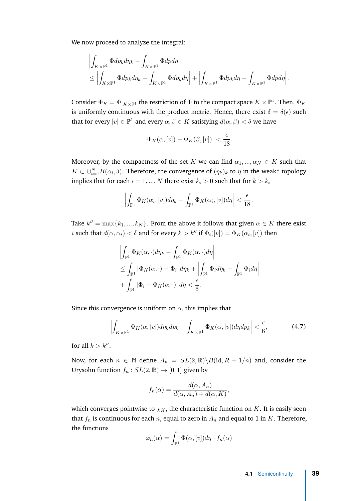We now proceed to analyze the integral:

$$
\left| \int_{K \times \mathbb{P}^1} \Phi dp_k d\eta_k - \int_{K \times \mathbb{P}^1} \Phi dp d\eta \right|
$$
  
\n
$$
\leq \left| \int_{K \times \mathbb{P}^1} \Phi dp_k d\eta_k - \int_{K \times \mathbb{P}^1} \Phi dp_k d\eta \right| + \left| \int_{K \times \mathbb{P}^1} \Phi dp_k d\eta - \int_{K \times \mathbb{P}^1} \Phi dp d\eta \right|.
$$

Consider  $\Phi_K = \Phi|_{K \times \mathbb{P}^1}$  the restriction of  $\Phi$  to the compact space  $K \times \mathbb{P}^1$ . Then,  $\Phi_K$ is uniformly continuous with the product metric. Hence, there exist  $\delta = \delta(\epsilon)$  such that for every  $[v] \in \mathbb{P}^1$  and every  $\alpha, \beta \in K$  satisfying  $d(\alpha, \beta) < \delta$  we have

$$
|\Phi_K(\alpha,[v])-\Phi_K(\beta,[v])|<\frac{\epsilon}{18}.
$$

Moreover, by the compactness of the set *K* we can find  $\alpha_1, ..., \alpha_N \in K$  such that  $K \subset \cup_{i=1}^{N} B(\alpha_i, \delta)$ . Therefore, the convergence of  $(\eta_k)_k$  to  $\eta$  in the weak\* topology implies that for each  $i = 1, ..., N$  there exist  $k_i > 0$  such that for  $k > k_i$ 

$$
\left| \int_{\mathbb{P}^1} \Phi_K(\alpha_i, [v]) d\eta_k - \int_{\mathbb{P}^1} \Phi_K(\alpha_i, [v]) d\eta \right| < \frac{\epsilon}{18}.
$$

Take  $k'' = \max\{k_1, ..., k_N\}$ . From the above it follows that given  $\alpha \in K$  there exist *i* such that  $d(\alpha, \alpha_i) < \delta$  and for every  $k > k''$  if  $\Phi_i([v]) = \Phi_K(\alpha_i, [v])$  then

$$
\left| \int_{\mathbb{P}^1} \Phi_K(\alpha, \cdot) d\eta_k - \int_{\mathbb{P}^1} \Phi_K(\alpha, \cdot) d\eta \right|
$$
  
\n
$$
\leq \int_{\mathbb{P}^1} |\Phi_K(\alpha, \cdot) - \Phi_i| d\eta_k + \left| \int_{\mathbb{P}^1} \Phi_i d\eta_k - \int_{\mathbb{P}^1} \Phi_i d\eta \right|
$$
  
\n
$$
+ \int_{\mathbb{P}^1} |\Phi_i - \Phi_K(\alpha, \cdot)| d\eta < \frac{\epsilon}{6}.
$$

Since this convergence is uniform on  $\alpha$ , this implies that

$$
\left| \int_{K \times \mathbb{P}^1} \Phi_K(\alpha, [v]) d\eta_k d p_k - \int_{K \times \mathbb{P}^1} \Phi_K(\alpha, [v]) d\eta d p_k \right| < \frac{\epsilon}{6},\tag{4.7}
$$

for all  $k > k''$ .

Now, for each  $n \in \mathbb{N}$  define  $A_n = SL(2, \mathbb{R})\backslash B(\text{id}, R + 1/n)$  and, consider the Urysohn function  $f_n: SL(2, \mathbb{R}) \to [0, 1]$  given by

$$
f_n(\alpha) = \frac{d(\alpha, A_n)}{d(\alpha, A_n) + d(\alpha, K)},
$$

which converges pointwise to  $\chi_K$ , the characteristic function on *K*. It is easily seen that  $f_n$  is continuous for each  $n$ , equal to zero in  $A_n$  and equal to 1 in  $K$ . Therefore, the functions

$$
\varphi_n(\alpha) = \int_{\mathbb{P}^1} \Phi(\alpha, [v]) d\eta \cdot f_n(\alpha)
$$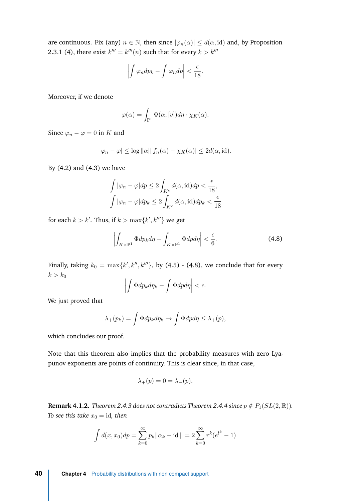are continuous. Fix (any)  $n \in \mathbb{N}$ , then since  $|\varphi_n(\alpha)| \leq d(\alpha, \text{id})$  and, by Proposition [2.3.1](#page-19-1) [\(4\)](#page-19-2), there exist  $k^{\prime\prime\prime} = k^{\prime\prime\prime}(n)$  such that for every  $k > k^{\prime\prime\prime}$ 

$$
\left|\int \varphi_n dp_k - \int \varphi_n dp \right| < \frac{\epsilon}{18}.
$$

Moreover, if we denote

$$
\varphi(\alpha) = \int_{\mathbb{P}^1} \Phi(\alpha, [v]) d\eta \cdot \chi_K(\alpha).
$$

Since  $\varphi_n - \varphi = 0$  in *K* and

$$
|\varphi_n - \varphi| \leq \log ||\alpha|| |f_n(\alpha) - \chi_K(\alpha)| \leq 2d(\alpha, \text{id}).
$$

By [\(4.2\)](#page-49-1) and [\(4.3\)](#page-49-0) we have

$$
\int |\varphi_n - \varphi| dp \le 2 \int_{K^c} d(\alpha, \text{id}) dp < \frac{\epsilon}{18},
$$
  

$$
\int |\varphi_n - \varphi| dp_k \le 2 \int_{K^c} d(\alpha, \text{id}) dp_k < \frac{\epsilon}{18}
$$

for each  $k > k'.$  Thus, if  $k > \max\{k',k'''\}$  we get

<span id="page-51-0"></span>
$$
\left| \int_{K \times \mathbb{P}^1} \Phi dp_k d\eta - \int_{K \times \mathbb{P}^1} \Phi dp d\eta \right| < \frac{\epsilon}{6}.\tag{4.8}
$$

Finally, taking  $k_0\,=\,\max\{k',k'',k'''\},$  by [\(4.5\)](#page-49-2) - [\(4.8\)](#page-51-0), we conclude that for every  $k > k_0$ 

$$
\left|\int \Phi dp_k d\eta_k - \int \Phi dp d\eta\right| < \epsilon.
$$

We just proved that

$$
\lambda_+(p_k) = \int \Phi dp_k d\eta_k \to \int \Phi dp d\eta \leq \lambda_+(p),
$$

which concludes our proof.

Note that this theorem also implies that the probability measures with zero Lyapunov exponents are points of continuity. This is clear since, in that case,

$$
\lambda_+(p) = 0 = \lambda_-(p).
$$

**Remark 4.1.2.** *Theorem [2.4.3](#page-21-1)* does not contradicts Theorem [2.4.4](#page-21-2) since  $p \notin P_1(SL(2,\mathbb{R}))$ . *To see this take*  $x_0 = id$ *, then* 

$$
\int d(x, x_0) dp = \sum_{k=0}^{\infty} p_k ||\alpha_k - \text{id}|| = 2 \sum_{k=0}^{\infty} r^k (e^{l^k} - 1)
$$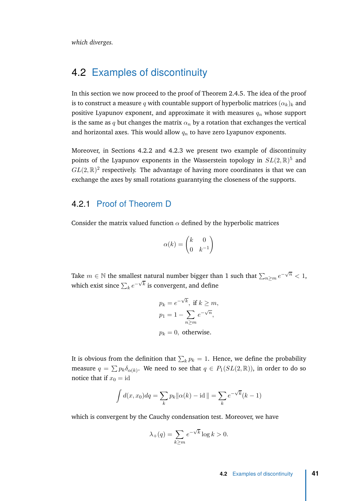*which diverges.*

## <span id="page-52-0"></span>4.2 Examples of discontinuity

In this section we now proceed to the proof of Theorem [2.4.5.](#page-22-0) The idea of the proof is to construct a measure q with countable support of hyperbolic matrices  $(\alpha_k)_k$  and positive Lyapunov exponent, and approximate it with measures *q<sup>n</sup>* whose support is the same as *q* but changes the matrix  $\alpha_n$  by a rotation that exchanges the vertical and horizontal axes. This would allow *q<sup>n</sup>* to have zero Lyapunov exponents.

Moreover, in Sections [4.2.2](#page-54-0) and [4.2.3](#page-59-0) we present two example of discontinuity points of the Lyapunov exponents in the Wasserstein topology in  $SL(2,\mathbb{R})^5$  and  $GL(2,\mathbb{R})^2$  respectively. The advantage of having more coordinates is that we can exchange the axes by small rotations guarantying the closeness of the supports.

#### <span id="page-52-1"></span>4.2.1 Proof of Theorem [D](#page-14-1)

Consider the matrix valued function  $\alpha$  defined by the hyperbolic matrices

$$
\alpha(k) = \begin{pmatrix} k & 0 \\ 0 & k^{-1} \end{pmatrix}
$$

Take  $m \in \mathbb{N}$  the smallest natural number bigger than 1 such that  $\sum_{n \geq m} e^{-\sqrt{n}} < 1$ , which exist since  $\sum_{k} e^{-\sqrt{k}}$  is convergent, and define

$$
p_k = e^{-\sqrt{k}}, \text{ if } k \ge m,
$$
  
\n
$$
p_1 = 1 - \sum_{n \ge m} e^{-\sqrt{n}},
$$
  
\n
$$
p_k = 0, \text{ otherwise.}
$$

It is obvious from the definition that  $\sum_k p_k = 1$ . Hence, we define the probability measure  $q = \sum p_k \delta_{\alpha(k)}$ . We need to see that  $q \in P_1(SL(2, \mathbb{R}))$ , in order to do so notice that if  $x_0 = id$ 

$$
\int d(x, x_0) dq = \sum_{k} p_k ||\alpha(k) - id|| = \sum_{k} e^{-\sqrt{k}} (k - 1)
$$

which is convergent by the Cauchy condensation test. Moreover, we have

$$
\lambda_+(q) = \sum_{k \ge m} e^{-\sqrt{k}} \log k > 0.
$$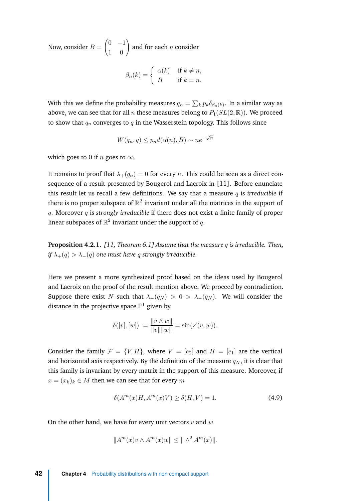<span id="page-53-1"></span>Now, consider *B* =  $\begin{pmatrix} 0 & -1 \\ 1 & 0 \end{pmatrix}$ and for each *n* consider  $\int_{a}^{b} f(x) dx$  if  $\int_{a}^{b} f(x) dx$ 

$$
\beta_n(k) = \begin{cases} \alpha(k) & \text{if } k \neq n, \\ B & \text{if } k = n. \end{cases}
$$

With this we define the probability measures  $q_n = \sum_k p_k \delta_{\beta_n(k)}.$  In a similar way as above, we can see that for all *n* these measures belong to  $P_1(SL(2, \mathbb{R}))$ . We proceed to show that  $q_n$  converges to  $q$  in the Wasserstein topology. This follows since

$$
W(q_n, q) \le p_n d(\alpha(n), B) \sim n e^{-\sqrt{n}}
$$

which goes to 0 if *n* goes to  $\infty$ .

It remains to proof that  $\lambda_+(q_n) = 0$  for every *n*. This could be seen as a direct consequence of a result presented by Bougerol and Lacroix in [\[11](#page-62-13)]. Before enunciate this result let us recall a few definitions. We say that a measure *q* is *irreducible* if there is no proper subspace of  $\mathbb{R}^2$  invariant under all the matrices in the support of *q*. Moreover *q* is *strongly irreducible* if there does not exist a finite family of proper linear subspaces of  $\mathbb{R}^2$  invariant under the support of  $q.$ 

**Proposition 4.2.1.** *[\[11](#page-62-13), Theorem 6.1] Assume that the measure q is irreducible. Then, if*  $\lambda_+(q) > \lambda_-(q)$  one must have q strongly irreducible.

Here we present a more synthesized proof based on the ideas used by Bougerol and Lacroix on the proof of the result mention above. We proceed by contradiction. Suppose there exist *N* such that  $\lambda_{+}(q_N) > 0 > \lambda_{-}(q_N)$ . We will consider the distance in the projective space  $\mathbb{P}^1$  given by

$$
\delta([v],[w]) := \frac{\|v \wedge w\|}{\|v\| \|w\|} = \sin(\angle(v,w)).
$$

Consider the family  $\mathcal{F} = \{V, H\}$ , where  $V = [e_2]$  and  $H = [e_1]$  are the vertical and horizontal axis respectively. By the definition of the measure  $q_N$ , it is clear that this family is invariant by every matrix in the support of this measure. Moreover, if  $x = (x_k)_k \in M$  then we can see that for every *m* 

<span id="page-53-0"></span>
$$
\delta(A^m(x)H, A^m(x)V) \ge \delta(H, V) = 1.
$$
\n(4.9)

On the other hand, we have for every unit vectors *v* and *w*

$$
||Am(x)v \wedge Am(x)w|| \le ||\wedge2 Am(x)||.
$$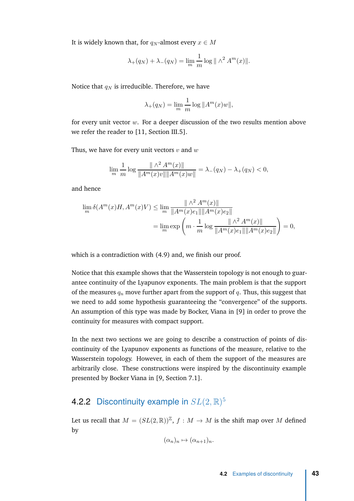<span id="page-54-1"></span>It is widely known that, for  $q_N$ -almost every  $x \in M$ 

$$
\lambda_+(q_N) + \lambda_-(q_N) = \lim_m \frac{1}{m} \log ||\wedge^2 A^m(x)||.
$$

Notice that  $q_N$  is irreducible. Therefore, we have

$$
\lambda_+(q_N) = \lim_m \frac{1}{m} \log ||A^m(x)w||,
$$

for every unit vector *w*. For a deeper discussion of the two results mention above we refer the reader to [\[11,](#page-62-13) Section III.5].

Thus, we have for every unit vectors *v* and *w*

$$
\lim_{m} \frac{1}{m} \log \frac{\|\wedge^2 A^m(x)\|}{\|A^m(x)v\|\|A^m(x)w\|} = \lambda_-(q_N) - \lambda_+(q_N) < 0,
$$

and hence

$$
\lim_{m} \delta(A^{m}(x)H, A^{m}(x)V) \le \lim_{m} \frac{\|\wedge^{2} A^{m}(x)\|}{\|A^{m}(x)e_{1}\|\|A^{m}(x)e_{2}\|}
$$
\n
$$
= \lim_{m} \exp\left(m \cdot \frac{1}{m} \log \frac{\|\wedge^{2} A^{m}(x)\|}{\|A^{m}(x)e_{1}\|\|A^{m}(x)e_{2}\|}\right) = 0,
$$

which is a contradiction with [\(4.9\)](#page-53-0) and, we finish our proof.

Notice that this example shows that the Wasserstein topology is not enough to guarantee continuity of the Lyapunov exponents. The main problem is that the support of the measures  $q_n$  move further apart from the support of  $q$ . Thus, this suggest that we need to add some hypothesis guaranteeing the "convergence" of the supports. An assumption of this type was made by Bocker, Viana in [\[9](#page-62-3)] in order to prove the continuity for measures with compact support.

In the next two sections we are going to describe a construction of points of discontinuity of the Lyapunov exponents as functions of the measure, relative to the Wasserstein topology. However, in each of them the support of the measures are arbitrarily close. These constructions were inspired by the discontinuity example presented by Bocker Viana in [\[9,](#page-62-3) Section 7.1].

#### <span id="page-54-0"></span>4.2.2 Discontinuity example in *SL*(2*,* R) 5

Let us recall that  $M = (SL(2, \mathbb{R}))^{\mathbb{Z}}$ ,  $f : M \to M$  is the shift map over M defined by

$$
(\alpha_n)_n \mapsto (\alpha_{n+1})_n.
$$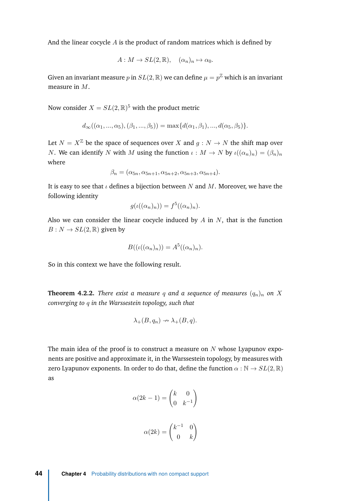And the linear cocycle *A* is the product of random matrices which is defined by

$$
A: M \to SL(2, \mathbb{R}), \quad (\alpha_n)_n \mapsto \alpha_0.
$$

Given an invariant measure  $p$  in  $SL(2,\mathbb{R})$  we can define  $\mu=p^{\mathbb{Z}}$  which is an invariant measure in *M*.

Now consider  $X = SL(2, \mathbb{R})^5$  with the product metric

$$
d_{\infty}((\alpha_1, ..., \alpha_5), (\beta_1, ..., \beta_5)) = \max\{d(\alpha_1, \beta_1), ..., d(\alpha_5, \beta_5)\}.
$$

Let  $N = X^{\mathbb{Z}}$  be the space of sequences over *X* and  $q: N \to N$  the shift map over *N*. We can identify *N* with *M* using the function  $\iota : M \to N$  by  $\iota((\alpha_n)_n) = (\beta_n)_n$ where

$$
\beta_n = (\alpha_{5n}, \alpha_{5n+1}, \alpha_{5n+2}, \alpha_{5n+3}, \alpha_{5n+4}).
$$

It is easy to see that *ι* defines a bijection between *N* and *M*. Moreover, we have the following identity

$$
g(\iota((\alpha_n)_n)) = f^5((\alpha_n)_n).
$$

Also we can consider the linear cocycle induced by *A* in *N*, that is the function  $B: N \to SL(2, \mathbb{R})$  given by

$$
B((\iota((\alpha_n)_n)) = A^5((\alpha_n)_n).
$$

So in this context we have the following result.

**Theorem 4.2.2.** *There exist a measure q* and a sequence of measures  $(q_n)_n$  on *X converging to q in the Warssestein topology, such that*

$$
\lambda_{+}(B,q_n)\nrightarrow \lambda_{+}(B,q).
$$

The main idea of the proof is to construct a measure on *N* whose Lyapunov exponents are positive and approximate it, in the Warssestein topology, by measures with zero Lyapunov exponents. In order to do that, define the function  $\alpha : \mathbb{N} \to SL(2,\mathbb{R})$ as

$$
\alpha(2k - 1) = \begin{pmatrix} k & 0 \\ 0 & k^{-1} \end{pmatrix}
$$

$$
\alpha(2k) = \begin{pmatrix} k^{-1} & 0 \\ 0 & k \end{pmatrix}
$$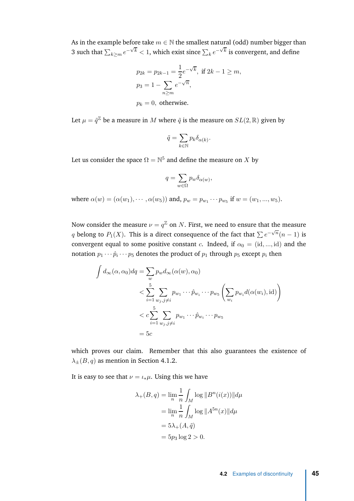As in the example before take  $m \in \mathbb{N}$  the smallest natural (odd) number bigger than 3 such that  $\sum_{k \geq m} e^{-\sqrt{k}} < 1$ , which exist since  $\sum_{k} e^{-\sqrt{k}}$  is convergent, and define

$$
p_{2k} = p_{2k-1} = \frac{1}{2}e^{-\sqrt{k}}, \text{ if } 2k - 1 \ge m,
$$
  
\n
$$
p_3 = 1 - \sum_{n \ge m} e^{-\sqrt{n}},
$$
  
\n
$$
p_k = 0, \text{ otherwise.}
$$

Let  $\mu = \tilde{q}^{\mathbb{Z}}$  be a measure in  $M$  where  $\tilde{q}$  is the measure on  $SL(2,\mathbb{R})$  given by

$$
\tilde{q} = \sum_{k \in \mathbb{N}} p_k \delta_{\alpha(k)}.
$$

Let us consider the space  $\Omega=\mathbb{N}^5$  and define the measure on  $X$  by

$$
q = \sum_{w \in \Omega} p_w \delta_{\alpha(w)},
$$

 $\text{where } \alpha(w) = (\alpha(w_1), \cdots, \alpha(w_5)) \text{ and, } p_w = p_{w_1} \cdots p_{w_5} \text{ if } w = (w_1, ..., w_5).$ 

Now consider the measure  $\nu=q^{\mathbb{Z}}$  on  $N.$  First, we need to ensure that the measure *q* belong to *P*<sub>1</sub>(*X*). This is a direct consequence of the fact that  $\sum e^{-\sqrt{n}}(n-1)$  is convergent equal to some positive constant *c*. Indeed, if  $\alpha_0 = (id, ..., id)$  and the notation  $p_1 \cdots \hat p_i \cdots p_5$  denotes the product of  $p_1$  through  $p_5$  except  $p_i$  then

$$
\int d_{\infty}(\alpha, \alpha_0) dq = \sum_{w} p_w d_{\infty}(\alpha(w), \alpha_0)
$$
\n
$$
< \sum_{i=1}^{5} \sum_{w_j, j \neq i} p_{w_1} \cdots \hat{p}_{w_i} \cdots p_{w_5} \left( \sum_{w_i} p_{w_i} d(\alpha(w_i), \text{id}) \right)
$$
\n
$$
< c \sum_{i=1}^{5} \sum_{w_j, j \neq i} p_{w_1} \cdots \hat{p}_{w_i} \cdots p_{w_5}
$$
\n
$$
= 5c
$$

which proves our claim. Remember that this also guarantees the existence of  $\lambda_{+}(B,q)$  as mention in Section [4.1.2.](#page-47-0)

It is easy to see that  $\nu = \iota_* \mu$ . Using this we have

$$
\lambda_{+}(B, q) = \lim_{n} \frac{1}{n} \int_{M} \log ||B^{n}(i(x))|| d\mu
$$

$$
= \lim_{n} \frac{1}{n} \int_{M} \log ||A^{5n}(x)|| d\mu
$$

$$
= 5\lambda_{+}(A, \tilde{q})
$$

$$
= 5p_{3} \log 2 > 0.
$$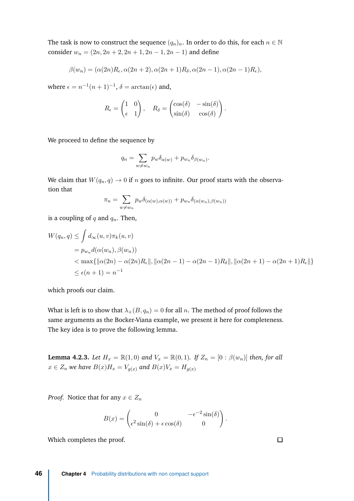The task is now to construct the sequence  $(q_n)_n$ . In order to do this, for each  $n \in \mathbb{N}$ consider  $w_n = (2n, 2n + 2, 2n + 1, 2n - 1, 2n - 1)$  and define

$$
\beta(w_n) = (\alpha(2n)R_{\epsilon}, \alpha(2n+2), \alpha(2n+1)R_{\delta}, \alpha(2n-1), \alpha(2n-1)R_{\epsilon}),
$$

where  $\epsilon = n^{-1}(n+1)^{-1}$ ,  $\delta = \arctan(\epsilon)$  and,

$$
R_{\epsilon} = \begin{pmatrix} 1 & 0 \\ \epsilon & 1 \end{pmatrix}, \quad R_{\delta} = \begin{pmatrix} \cos(\delta) & -\sin(\delta) \\ \sin(\delta) & \cos(\delta) \end{pmatrix}.
$$

We proceed to define the sequence by

$$
q_n = \sum_{w \neq w_n} p_w \delta_{\alpha(w)} + p_{w_n} \delta_{\beta(w_n)}.
$$

We claim that  $W(q_n, q) \to 0$  if *n* goes to infinite. Our proof starts with the observation that

$$
\pi_n = \sum_{w \neq w_n} p_w \delta_{(\alpha(w), \alpha(w))} + p_{w_n} \delta_{(\alpha(w_n), \beta(w_n))}
$$

is a coupling of *q* and *qn*. Then,

$$
W(q_n, q) \le \int d_{\infty}(u, v) \pi_k(u, v)
$$
  
=  $p_{w_n} d(\alpha(w_n), \beta(w_n))$   
<  $\text{max}\{||\alpha(2n) - \alpha(2n)R_{\epsilon}||, ||\alpha(2n - 1) - \alpha(2n - 1)R_{\delta}||, ||\alpha(2n + 1) - \alpha(2n + 1)R_{\epsilon}||\}$   
 $\le \epsilon(n + 1) = n^{-1}$ 

which proofs our claim.

What is left is to show that  $\lambda_+(B,q_n) = 0$  for all *n*. The method of proof follows the same arguments as the Bocker-Viana example, we present it here for completeness. The key idea is to prove the following lemma.

<span id="page-57-0"></span>**Lemma 4.2.3.** *Let*  $H_x = \mathbb{R}(1,0)$  *and*  $V_x = \mathbb{R}(0,1)$ *. If*  $Z_n = [0 : \beta(w_n)]$  *then, for all*  $x \in Z_n$  *we have*  $B(x)H_x = V_{q(x)}$  *and*  $B(x)V_x = H_{q(x)}$ 

*Proof.* Notice that for any  $x \in Z_n$ 

$$
B(x) = \begin{pmatrix} 0 & -\epsilon^{-2}\sin(\delta) \\ \epsilon^2\sin(\delta) + \epsilon\cos(\delta) & 0 \end{pmatrix}.
$$

Which completes the proof.

 $\Box$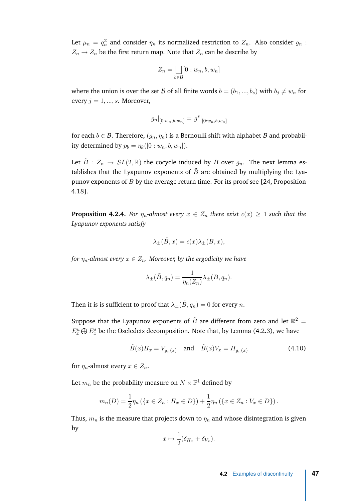<span id="page-58-1"></span>Let  $\mu_n = q_n^{\mathbb{Z}}$  and consider  $\eta_n$  its normalized restriction to  $Z_n$ . Also consider  $g_n$  :  $Z_n \to Z_n$  be the first return map. Note that  $Z_n$  can be describe by

$$
Z_n = \bigsqcup_{b \in \mathcal{B}} [0:w_n, b, w_n]
$$

where the union is over the set B of all finite words  $b = (b_1, ..., b_s)$  with  $b_i \neq w_n$  for every  $j = 1, ..., s$ . Moreover,

$$
g_n|_{[0:w_n,b,w_n]} = g^s|_{[0:w_n,b,w_n]}
$$

for each  $b \in \mathcal{B}$ . Therefore,  $(g_n, \eta_n)$  is a Bernoulli shift with alphabet  $\mathcal{B}$  and probability determined by  $p_b = \eta_k([0:w_n, b, w_n]).$ 

Let  $\tilde{B}$  :  $Z_n \to SL(2,\mathbb{R})$  the cocycle induced by *B* over  $g_n$ . The next lemma establishes that the Lyapunov exponents of  $\tilde{B}$  are obtained by multiplying the Lyapunov exponents of *B* by the average return time. For its proof see [\[24](#page-63-7), Proposition 4.18].

**Proposition 4.2.4.** *For*  $\eta_n$ -almost every  $x \in Z_n$  there exist  $c(x) \geq 1$  such that the *Lyapunov exponents satisfy*

$$
\lambda_{\pm}(\tilde{B},x) = c(x)\lambda_{\pm}(B,x),
$$

*for*  $\eta_n$ -almost every  $x \in Z_n$ . Moreover, by the ergodicity we have

<span id="page-58-0"></span>
$$
\lambda_{\pm}(\tilde{B}, q_n) = \frac{1}{\eta_n(Z_n)} \lambda_{\pm}(B, q_n).
$$

Then it is is sufficient to proof that  $\lambda_{\pm}(\tilde{B}, q_n) = 0$  for every  $n$ .

Suppose that the Lyapunov exponents of  $\tilde{B}$  are different from zero and let  $\mathbb{R}^2 =$  $E_x^u \bigoplus E_x^s$  be the Oseledets decomposition. Note that, by Lemma [\(4.2.3\)](#page-57-0), we have

$$
\tilde{B}(x)H_x = V_{g_n(x)} \quad \text{and} \quad \tilde{B}(x)V_x = H_{g_n(x)} \tag{4.10}
$$

for  $\eta_n$ -almost every  $x \in Z_n$ .

Let  $m_n$  be the probability measure on  $N\times \mathbb{P}^1$  defined by

$$
m_n(D) = \frac{1}{2}\eta_n \left( \{x \in Z_n : H_x \in D\} \right) + \frac{1}{2}\eta_n \left( \{x \in Z_n : V_x \in D\} \right).
$$

Thus,  $m_n$  is the measure that projects down to  $\eta_n$  and whose disintegration is given by

$$
x \mapsto \frac{1}{2}(\delta_{H_x} + \delta_{V_x}).
$$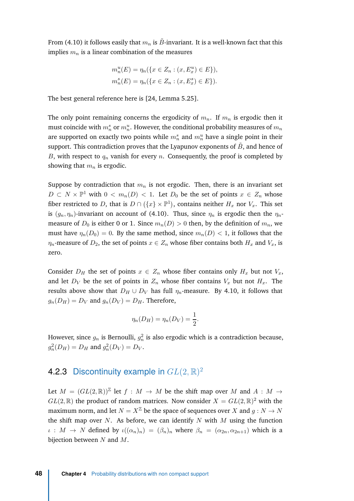<span id="page-59-1"></span>From [\(4.10\)](#page-58-0) it follows easily that  $m_n$  is  $\tilde{B}$ -invariant. It is a well-known fact that this implies *m<sup>n</sup>* is a linear combination of the measures

$$
m_n^u(E) = \eta_n(\{x \in Z_n : (x, E_x^u) \in E\}),
$$
  

$$
m_n^s(E) = \eta_n(\{x \in Z_n : (x, E_x^s) \in E\}).
$$

The best general reference here is [\[24,](#page-63-7) Lemma 5.25].

The only point remaining concerns the ergodicity of  $m_n$ . If  $m_n$  is ergodic then it must coincide with  $m_n^s$  or  $m_n^u$ . However, the conditional probability measures of  $m_n$ are supported on exactly two points while  $m_n^s$  and  $m_n^u$  have a single point in their support. This contradiction proves that the Lyapunov exponents of  $\tilde{B}$ , and hence of *B*, with respect to *q<sup>n</sup>* vanish for every *n*. Consequently, the proof is completed by showing that *m<sup>n</sup>* is ergodic.

Suppose by contradiction that  $m<sub>n</sub>$  is not ergodic. Then, there is an invariant set *D* ⊂ *N*  $\times$   $\mathbb{P}^1$  with  $0 < m_n(D) < 1$ . Let *D*<sub>0</sub> be the set of points  $x \in Z_n$  whose fiber restricted to D, that is  $D \cap (\{x\} \times \mathbb{P}^1)$ , contains neither  $H_x$  nor  $V_x$ . This set is  $(g_n, \eta_n)$ -invariant on account of [\(4.10\)](#page-58-0). Thus, since  $\eta_n$  is ergodic then the  $\eta_n$ measure of  $D_0$  is either 0 or 1. Since  $m_n(D) > 0$  then, by the definition of  $m_n$ , we must have  $\eta_n(D_0) = 0$ . By the same method, since  $m_n(D) < 1$ , it follows that the  $η$ *<sup><i>n*</sup></sup> - measure of *D*<sub>2</sub>, the set of points  $x \in Z$ <sup>*n*</sup> whose fiber contains both  $H_x$  and  $V_x$ , is zero.

Consider  $D_H$  the set of points  $x \in Z_n$  whose fiber contains only  $H_x$  but not  $V_x$ , and let  $D_V$  be the set of points in  $Z_n$  whose fiber contains  $V_x$  but not  $H_x$ . The results above show that  $D_H \cup D_V$  has full  $\eta_n$ -measure. By [4.10,](#page-58-0) it follows that  $g_n(D_H) = D_V$  and  $g_n(D_V) = D_H$ . Therefore,

$$
\eta_n(D_H) = \eta_n(D_V) = \frac{1}{2}.
$$

However, since  $g_n$  is Bernoulli,  $g_n^2$  is also ergodic which is a contradiction because,  $g_n^2(D_H) = D_H$  and  $g_n^2(D_V) = D_V$ .

#### <span id="page-59-0"></span>4.2.3 Discontinuity example in *GL*(2*,* R) 2

Let  $M = (GL(2, \mathbb{R}))^{\mathbb{Z}}$  let  $f : M \rightarrow M$  be the shift map over M and  $A : M \rightarrow$  $GL(2,\mathbb{R})$  the product of random matrices. Now consider  $X = GL(2,\mathbb{R})^2$  with the maximum norm, and let  $N = X^{\mathbb{Z}}$  be the space of sequences over *X* and  $g: N \to N$ the shift map over *N*. As before, we can identify *N* with *M* using the function  $\iota : M \to N$  defined by  $\iota((\alpha_n)_n) = (\beta_n)_n$  where  $\beta_n = (\alpha_{2n}, \alpha_{2n+1})$  which is a bijection between *N* and *M*.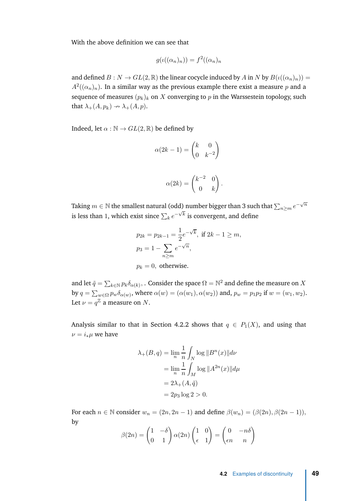With the above definition we can see that

$$
g(\iota((\alpha_n)_n)) = f^2((\alpha_n)_n)
$$

and defined  $B: N \to GL(2, \mathbb{R})$  the linear cocycle induced by *A* in *N* by  $B(\iota((\alpha_n)_n)) =$  $A^2((\alpha_n)_n)$ . In a similar way as the previous example there exist a measure  $p$  and a sequence of measures  $(p_k)_k$  on  $X$  converging to  $p$  in the Warssestein topology, such that  $\lambda_{+}(A, p_{k}) \rightarrow \lambda_{+}(A, p)$ .

Indeed, let  $\alpha : \mathbb{N} \to GL(2, \mathbb{R})$  be defined by

$$
\alpha(2k-1) = \begin{pmatrix} k & 0 \\ 0 & k^{-2} \end{pmatrix}
$$

$$
\alpha(2k) = \begin{pmatrix} k^{-2} & 0 \\ 0 & k \end{pmatrix}.
$$

Taking  $m \in \mathbb{N}$  the smallest natural (odd) number bigger than 3 such that  $\sum_{n \geq m} e^{-\sqrt{n}}$ is less than 1, which exist since  $\sum_k e^{-\sqrt{k}}$  is convergent, and define

$$
p_{2k} = p_{2k-1} = \frac{1}{2}e^{-\sqrt{k}}, \text{ if } 2k - 1 \ge m,
$$
  

$$
p_3 = 1 - \sum_{n \ge m} e^{-\sqrt{n}},
$$
  

$$
p_k = 0, \text{ otherwise.}
$$

and let  $\tilde{q} = \sum_{k \in \mathbb{N}} p_k \delta_{\alpha(k)},$  . Consider the space  $\Omega = \mathbb{N}^2$  and define the measure on  $X$ by  $q = \sum_{w \in \Omega} p_w \delta_{\alpha(w)}$ , where  $\alpha(w) = (\alpha(w_1), \alpha(w_2))$  and,  $p_w = p_1 p_2$  if  $w = (w_1, w_2)$ . Let  $\nu=q^{\mathbb{Z}}$  a measure on  $N.$ 

Analysis similar to that in Section [4.2.2](#page-54-0) shows that  $q \in P_1(X)$ , and using that  $\nu = i_* \mu$  we have

$$
\lambda_{+}(B,q) = \lim_{n} \frac{1}{n} \int_{N} \log ||B^{n}(x)|| d\nu
$$

$$
= \lim_{n} \frac{1}{n} \int_{M} \log ||A^{2n}(x)|| d\mu
$$

$$
= 2\lambda_{+}(A,\tilde{q})
$$

$$
= 2p_{3} \log 2 > 0.
$$

For each  $n \in \mathbb{N}$  consider  $w_n = (2n, 2n - 1)$  and define  $\beta(w_n) = (\beta(2n), \beta(2n - 1))$ , by

$$
\beta(2n) = \begin{pmatrix} 1 & -\delta \\ 0 & 1 \end{pmatrix} \alpha(2n) \begin{pmatrix} 1 & 0 \\ \epsilon & 1 \end{pmatrix} = \begin{pmatrix} 0 & -n\delta \\ \epsilon n & n \end{pmatrix}
$$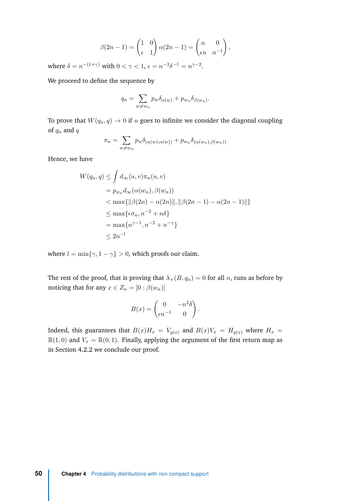$$
\beta(2n-1) = \begin{pmatrix} 1 & 0 \\ \epsilon & 1 \end{pmatrix} \alpha(2n-1) = \begin{pmatrix} n & 0 \\ \epsilon n & n^{-1} \end{pmatrix},
$$

where  $\delta = n^{-(1+\gamma)}$  with  $0 < \gamma < 1$ ,  $\epsilon = n^{-3}\delta^{-1} = n^{\gamma-2}$ .

We proceed to define the sequence by

$$
q_n = \sum_{w \neq w_n} p_w \delta_{\alpha(w)} + p_{w_n} \delta_{\beta(w_n)}.
$$

To prove that  $W(q_n, q) \to 0$  if *n* goes to infinite we consider the diagonal coupling of *q<sup>n</sup>* and *q*

$$
\pi_n = \sum_{w \neq w_n} p_w \delta_{(\alpha(w), \alpha(w))} + p_{w_n} \delta_{(\alpha(w_n), \beta(w_n))}
$$

Hence, we have

$$
W(q_n, q) \leq \int d_{\infty}(u, v) \pi_n(u, v)
$$
  
=  $p_{w_n} d_{\infty}(\alpha(w_n), \beta(w_n))$   
<  $\text{max}\{\|\beta(2n) - \alpha(2n)\|, \|\beta(2n - 1) - \alpha(2n - 1)\|\}$   
 $\leq \text{max}\{\epsilon \sigma_n, n^{-2} + n\delta\}$   
=  $\text{max}\{n^{\gamma - 1}, n^{-2} + n^{-\gamma}\}$   
 $\leq 2n^{-l}$ 

where  $l = \min\{\gamma, 1 - \gamma\} > 0$ , which proofs our claim.

The rest of the proof, that is proving that  $\lambda_{+}(B,q_n) = 0$  for all *n*, runs as before by noticing that for any  $x \in Z_n = [0 : \beta(w_n)]$ 

$$
B(x) = \begin{pmatrix} 0 & -n^2 \delta \\ \epsilon n^{-1} & 0 \end{pmatrix}.
$$

Indeed, this guarantees that  $B(x)H_x = V_{g(x)}$  and  $B(x)V_x = H_{g(x)}$  where  $H_x =$  $\mathbb{R}(1,0)$  and  $V_x = \mathbb{R}(0,1)$ . Finally, applying the argument of the first return map as in Section [4.2.2](#page-54-0) we conclude our proof.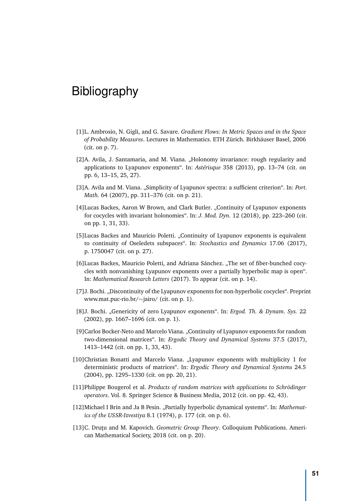# <span id="page-62-0"></span>Bibliography

- <span id="page-62-7"></span>[1]L. Ambrosio, N. Gigli, and G. Savare. *Gradient Flows: In Metric Spaces and in the Space of Probability Measures*. Lectures in Mathematics. ETH Zürich. Birkhäuser Basel, 2006 (cit. on p. [7\)](#page-18-1).
- <span id="page-62-5"></span>[2]A. Avila, J. Santamaria, and M. Viana. "Holonomy invariance: rough regularity and applications to Lyapunov exponents". In: *Astérisque* 358 (2013), pp. 13–74 (cit. on pp. [6,](#page-17-1) [13–](#page-24-2)[15,](#page-26-1) [25,](#page-36-4) [27\)](#page-38-1).
- <span id="page-62-11"></span>[3]A. Avila and M. Viana. "Simplicity of Lyapunov spectra: a sufficient criterion". In: *Port*. *Math.* 64 (2007), pp. 311–376 (cit. on p. [21\)](#page-32-2).
- <span id="page-62-4"></span>[4]Lucas Backes, Aaron W Brown, and Clark Butler. "Continuity of Lyapunov exponents for cocycles with invariant holonomies". In: *J. Mod. Dyn.* 12 (2018), pp. 223–260 (cit. on pp. [1,](#page-12-2) [31,](#page-42-1) [33\)](#page-44-1).
- <span id="page-62-12"></span>[5]Lucas Backes and Mauricio Poletti. "Continuity of Lyapunov exponents is equivalent to continuity of Oseledets subspaces". In: *Stochastics and Dynamics* 17.06 (2017), p. 1750047 (cit. on p. [27\)](#page-38-1).
- <span id="page-62-8"></span>[6]Lucas Backes, Mauricio Poletti, and Adriana Sánchez. "The set of fiber-bunched cocycles with nonvanishing Lyapunov exponents over a partially hyperbolic map is open". In: *Mathematical Research Letters* (2017). To appear (cit. on p. [14\)](#page-25-2).
- <span id="page-62-1"></span>[7] J. Bochi. "Discontinuity of the Lyapunov exponents for non-hyperbolic cocycles". Preprint www.mat.puc-rio.br/∼jairo/ (cit. on p. [1\)](#page-12-2).
- <span id="page-62-2"></span>[8]J. Bochi. "Genericity of zero Lyapunov exponents". In: *Ergod. Th. & Dynam. Sys.* 22 (2002), pp. 1667–1696 (cit. on p. [1\)](#page-12-2).
- <span id="page-62-3"></span>[9]Carlos Bocker-Neto and Marcelo Viana. "Continuity of Lyapunov exponents for random two-dimensional matrices". In: *Ergodic Theory and Dynamical Systems* 37.5 (2017), 1413–1442 (cit. on pp. [1,](#page-12-2) [33,](#page-44-1) [43\)](#page-54-1).
- <span id="page-62-10"></span>[10]Christian Bonatti and Marcelo Viana. "Lyapunov exponents with multiplicity 1 for deterministic products of matrices". In: *Ergodic Theory and Dynamical Systems* 24.5 (2004), pp. 1295–1330 (cit. on pp. [20,](#page-31-1) [21\)](#page-32-2).
- <span id="page-62-13"></span>[11]Philippe Bougerol et al. *Products of random matrices with applications to Schrödinger operators*. Vol. 8. Springer Science & Business Media, 2012 (cit. on pp. [42,](#page-53-1) [43\)](#page-54-1).
- <span id="page-62-6"></span>[12] Michael I Brin and Ja B Pesin. "Partially hyperbolic dynamical systems". In: *Mathematics of the USSR-Izvestiya* 8.1 (1974), p. 177 (cit. on p. [6\)](#page-17-1).
- <span id="page-62-9"></span>[13]C. Drutu and M. Kapovich. *Geometric Group Theory*. Colloquium Publications. American Mathematical Society, 2018 (cit. on p. [20\)](#page-31-1).